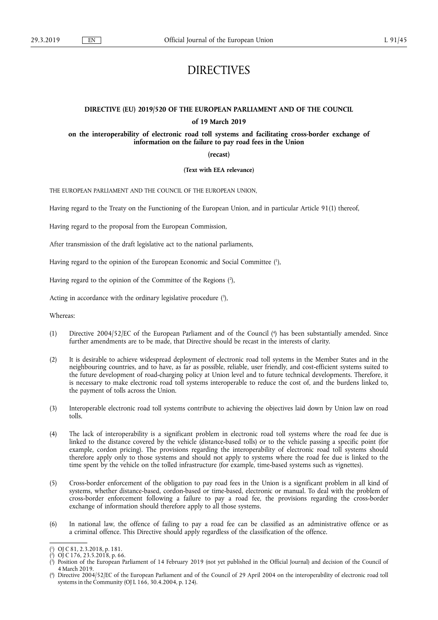# DIRECTIVES

## **DIRECTIVE (EU) 2019/520 OF THE EUROPEAN PARLIAMENT AND OF THE COUNCIL**

#### **of 19 March 2019**

**on the interoperability of electronic road toll systems and facilitating cross-border exchange of information on the failure to pay road fees in the Union** 

**(recast)** 

**(Text with EEA relevance)** 

THE EUROPEAN PARLIAMENT AND THE COUNCIL OF THE EUROPEAN UNION,

Having regard to the Treaty on the Functioning of the European Union, and in particular Article 91(1) thereof,

Having regard to the proposal from the European Commission,

After transmission of the draft legislative act to the national parliaments,

Having regard to the opinion of the European Economic and Social Committee ( 1 ),

Having regard to the opinion of the Committee of the Regions (2),

Acting in accordance with the ordinary legislative procedure  $(3)$ ,

Whereas:

- (1) Directive 2004/52/EC of the European Parliament and of the Council ( 4 ) has been substantially amended. Since further amendments are to be made, that Directive should be recast in the interests of clarity.
- (2) It is desirable to achieve widespread deployment of electronic road toll systems in the Member States and in the neighbouring countries, and to have, as far as possible, reliable, user friendly, and cost-efficient systems suited to the future development of road-charging policy at Union level and to future technical developments. Therefore, it is necessary to make electronic road toll systems interoperable to reduce the cost of, and the burdens linked to, the payment of tolls across the Union.
- (3) Interoperable electronic road toll systems contribute to achieving the objectives laid down by Union law on road tolls.
- (4) The lack of interoperability is a significant problem in electronic road toll systems where the road fee due is linked to the distance covered by the vehicle (distance-based tolls) or to the vehicle passing a specific point (for example, cordon pricing). The provisions regarding the interoperability of electronic road toll systems should therefore apply only to those systems and should not apply to systems where the road fee due is linked to the time spent by the vehicle on the tolled infrastructure (for example, time-based systems such as vignettes).
- (5) Cross-border enforcement of the obligation to pay road fees in the Union is a significant problem in all kind of systems, whether distance-based, cordon-based or time-based, electronic or manual. To deal with the problem of cross-border enforcement following a failure to pay a road fee, the provisions regarding the cross-border exchange of information should therefore apply to all those systems.
- (6) In national law, the offence of failing to pay a road fee can be classified as an administrative offence or as a criminal offence. This Directive should apply regardless of the classification of the offence.

<sup>(</sup> 1 ) OJ C 81, 2.3.2018, p. 181.

<sup>(</sup> 2 ) OJ C 176, 23.5.2018, p. 66.

<sup>(</sup> 3 ) Position of the European Parliament of 14 February 2019 (not yet published in the Official Journal) and decision of the Council of 4 March 2019.

<sup>(</sup> 4 ) Directive 2004/52/EC of the European Parliament and of the Council of 29 April 2004 on the interoperability of electronic road toll systems in the Community (OJ L 166, 30.4.2004, p. 124).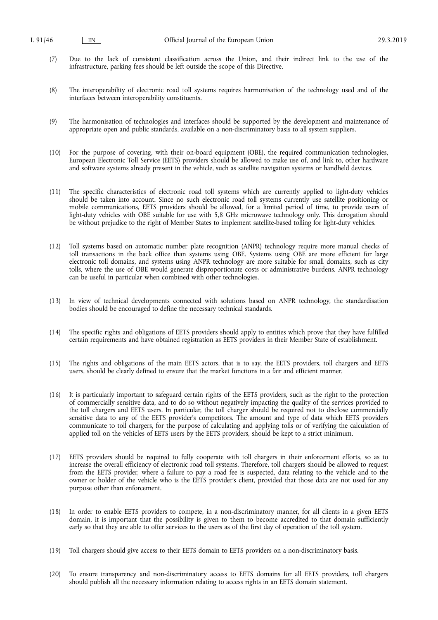- (7) Due to the lack of consistent classification across the Union, and their indirect link to the use of the infrastructure, parking fees should be left outside the scope of this Directive.
- (8) The interoperability of electronic road toll systems requires harmonisation of the technology used and of the interfaces between interoperability constituents.
- (9) The harmonisation of technologies and interfaces should be supported by the development and maintenance of appropriate open and public standards, available on a non-discriminatory basis to all system suppliers.
- (10) For the purpose of covering, with their on-board equipment (OBE), the required communication technologies, European Electronic Toll Service (EETS) providers should be allowed to make use of, and link to, other hardware and software systems already present in the vehicle, such as satellite navigation systems or handheld devices.
- (11) The specific characteristics of electronic road toll systems which are currently applied to light-duty vehicles should be taken into account. Since no such electronic road toll systems currently use satellite positioning or mobile communications, EETS providers should be allowed, for a limited period of time, to provide users of light-duty vehicles with OBE suitable for use with 5,8 GHz microwave technology only. This derogation should be without prejudice to the right of Member States to implement satellite-based tolling for light-duty vehicles.
- (12) Toll systems based on automatic number plate recognition (ANPR) technology require more manual checks of toll transactions in the back office than systems using OBE. Systems using OBE are more efficient for large electronic toll domains, and systems using ANPR technology are more suitable for small domains, such as city tolls, where the use of OBE would generate disproportionate costs or administrative burdens. ANPR technology can be useful in particular when combined with other technologies.
- (13) In view of technical developments connected with solutions based on ANPR technology, the standardisation bodies should be encouraged to define the necessary technical standards.
- (14) The specific rights and obligations of EETS providers should apply to entities which prove that they have fulfilled certain requirements and have obtained registration as EETS providers in their Member State of establishment.
- (15) The rights and obligations of the main EETS actors, that is to say, the EETS providers, toll chargers and EETS users, should be clearly defined to ensure that the market functions in a fair and efficient manner.
- (16) It is particularly important to safeguard certain rights of the EETS providers, such as the right to the protection of commercially sensitive data, and to do so without negatively impacting the quality of the services provided to the toll chargers and EETS users. In particular, the toll charger should be required not to disclose commercially sensitive data to any of the EETS provider's competitors. The amount and type of data which EETS providers communicate to toll chargers, for the purpose of calculating and applying tolls or of verifying the calculation of applied toll on the vehicles of EETS users by the EETS providers, should be kept to a strict minimum.
- (17) EETS providers should be required to fully cooperate with toll chargers in their enforcement efforts, so as to increase the overall efficiency of electronic road toll systems. Therefore, toll chargers should be allowed to request from the EETS provider, where a failure to pay a road fee is suspected, data relating to the vehicle and to the owner or holder of the vehicle who is the EETS provider's client, provided that those data are not used for any purpose other than enforcement.
- (18) In order to enable EETS providers to compete, in a non-discriminatory manner, for all clients in a given EETS domain, it is important that the possibility is given to them to become accredited to that domain sufficiently early so that they are able to offer services to the users as of the first day of operation of the toll system.
- (19) Toll chargers should give access to their EETS domain to EETS providers on a non-discriminatory basis.
- (20) To ensure transparency and non-discriminatory access to EETS domains for all EETS providers, toll chargers should publish all the necessary information relating to access rights in an EETS domain statement.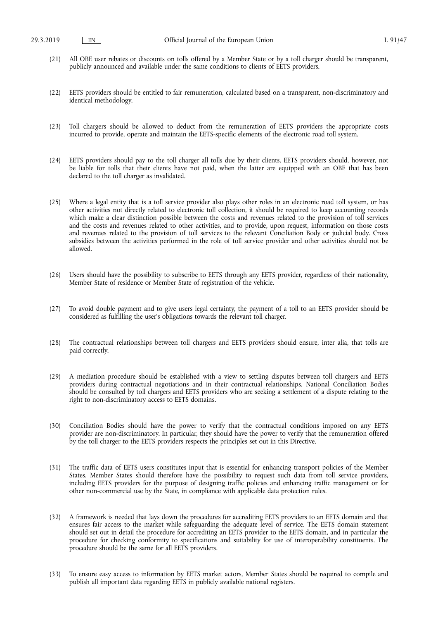- (21) All OBE user rebates or discounts on tolls offered by a Member State or by a toll charger should be transparent, publicly announced and available under the same conditions to clients of EETS providers.
- (22) EETS providers should be entitled to fair remuneration, calculated based on a transparent, non-discriminatory and identical methodology.
- (23) Toll chargers should be allowed to deduct from the remuneration of EETS providers the appropriate costs incurred to provide, operate and maintain the EETS-specific elements of the electronic road toll system.
- (24) EETS providers should pay to the toll charger all tolls due by their clients. EETS providers should, however, not be liable for tolls that their clients have not paid, when the latter are equipped with an OBE that has been declared to the toll charger as invalidated.
- (25) Where a legal entity that is a toll service provider also plays other roles in an electronic road toll system, or has other activities not directly related to electronic toll collection, it should be required to keep accounting records which make a clear distinction possible between the costs and revenues related to the provision of toll services and the costs and revenues related to other activities, and to provide, upon request, information on those costs and revenues related to the provision of toll services to the relevant Conciliation Body or judicial body. Cross subsidies between the activities performed in the role of toll service provider and other activities should not be allowed.
- (26) Users should have the possibility to subscribe to EETS through any EETS provider, regardless of their nationality, Member State of residence or Member State of registration of the vehicle.
- (27) To avoid double payment and to give users legal certainty, the payment of a toll to an EETS provider should be considered as fulfilling the user's obligations towards the relevant toll charger.
- (28) The contractual relationships between toll chargers and EETS providers should ensure, inter alia, that tolls are paid correctly.
- (29) A mediation procedure should be established with a view to settling disputes between toll chargers and EETS providers during contractual negotiations and in their contractual relationships. National Conciliation Bodies should be consulted by toll chargers and EETS providers who are seeking a settlement of a dispute relating to the right to non-discriminatory access to EETS domains.
- (30) Conciliation Bodies should have the power to verify that the contractual conditions imposed on any EETS provider are non-discriminatory. In particular, they should have the power to verify that the remuneration offered by the toll charger to the EETS providers respects the principles set out in this Directive.
- (31) The traffic data of EETS users constitutes input that is essential for enhancing transport policies of the Member States. Member States should therefore have the possibility to request such data from toll service providers, including EETS providers for the purpose of designing traffic policies and enhancing traffic management or for other non-commercial use by the State, in compliance with applicable data protection rules.
- (32) A framework is needed that lays down the procedures for accrediting EETS providers to an EETS domain and that ensures fair access to the market while safeguarding the adequate level of service. The EETS domain statement should set out in detail the procedure for accrediting an EETS provider to the EETS domain, and in particular the procedure for checking conformity to specifications and suitability for use of interoperability constituents. The procedure should be the same for all EETS providers.
- (33) To ensure easy access to information by EETS market actors, Member States should be required to compile and publish all important data regarding EETS in publicly available national registers.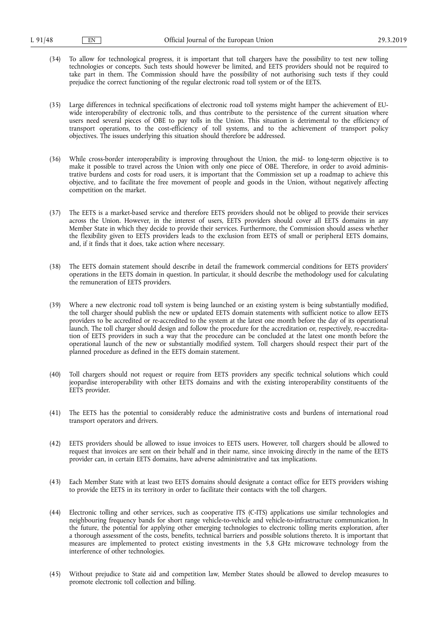- (34) To allow for technological progress, it is important that toll chargers have the possibility to test new tolling technologies or concepts. Such tests should however be limited, and EETS providers should not be required to take part in them. The Commission should have the possibility of not authorising such tests if they could prejudice the correct functioning of the regular electronic road toll system or of the EETS.
- (35) Large differences in technical specifications of electronic road toll systems might hamper the achievement of EUwide interoperability of electronic tolls, and thus contribute to the persistence of the current situation where users need several pieces of OBE to pay tolls in the Union. This situation is detrimental to the efficiency of transport operations, to the cost-efficiency of toll systems, and to the achievement of transport policy objectives. The issues underlying this situation should therefore be addressed.
- (36) While cross-border interoperability is improving throughout the Union, the mid- to long-term objective is to make it possible to travel across the Union with only one piece of OBE. Therefore, in order to avoid administrative burdens and costs for road users, it is important that the Commission set up a roadmap to achieve this objective, and to facilitate the free movement of people and goods in the Union, without negatively affecting competition on the market.
- (37) The EETS is a market-based service and therefore EETS providers should not be obliged to provide their services across the Union. However, in the interest of users, EETS providers should cover all EETS domains in any Member State in which they decide to provide their services. Furthermore, the Commission should assess whether the flexibility given to EETS providers leads to the exclusion from EETS of small or peripheral EETS domains, and, if it finds that it does, take action where necessary.
- (38) The EETS domain statement should describe in detail the framework commercial conditions for EETS providers' operations in the EETS domain in question. In particular, it should describe the methodology used for calculating the remuneration of EETS providers.
- (39) Where a new electronic road toll system is being launched or an existing system is being substantially modified, the toll charger should publish the new or updated EETS domain statements with sufficient notice to allow EETS providers to be accredited or re-accredited to the system at the latest one month before the day of its operational launch. The toll charger should design and follow the procedure for the accreditation or, respectively, re-accreditation of EETS providers in such a way that the procedure can be concluded at the latest one month before the operational launch of the new or substantially modified system. Toll chargers should respect their part of the planned procedure as defined in the EETS domain statement.
- (40) Toll chargers should not request or require from EETS providers any specific technical solutions which could jeopardise interoperability with other EETS domains and with the existing interoperability constituents of the EETS provider.
- (41) The EETS has the potential to considerably reduce the administrative costs and burdens of international road transport operators and drivers.
- (42) EETS providers should be allowed to issue invoices to EETS users. However, toll chargers should be allowed to request that invoices are sent on their behalf and in their name, since invoicing directly in the name of the EETS provider can, in certain EETS domains, have adverse administrative and tax implications.
- (43) Each Member State with at least two EETS domains should designate a contact office for EETS providers wishing to provide the EETS in its territory in order to facilitate their contacts with the toll chargers.
- (44) Electronic tolling and other services, such as cooperative ITS (C-ITS) applications use similar technologies and neighbouring frequency bands for short range vehicle-to-vehicle and vehicle-to-infrastructure communication. In the future, the potential for applying other emerging technologies to electronic tolling merits exploration, after a thorough assessment of the costs, benefits, technical barriers and possible solutions thereto. It is important that measures are implemented to protect existing investments in the 5,8 GHz microwave technology from the interference of other technologies.
- (45) Without prejudice to State aid and competition law, Member States should be allowed to develop measures to promote electronic toll collection and billing.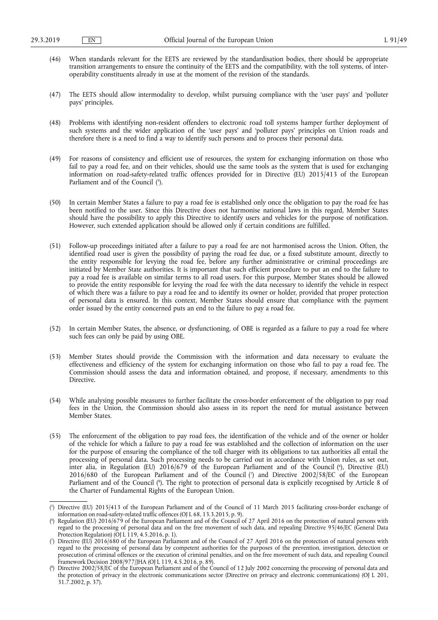- (46) When standards relevant for the EETS are reviewed by the standardisation bodies, there should be appropriate transition arrangements to ensure the continuity of the EETS and the compatibility, with the toll systems, of interoperability constituents already in use at the moment of the revision of the standards.
- (47) The EETS should allow intermodality to develop, whilst pursuing compliance with the 'user pays' and 'polluter pays' principles.
- (48) Problems with identifying non-resident offenders to electronic road toll systems hamper further deployment of such systems and the wider application of the 'user pays' and 'polluter pays' principles on Union roads and therefore there is a need to find a way to identify such persons and to process their personal data.
- (49) For reasons of consistency and efficient use of resources, the system for exchanging information on those who fail to pay a road fee, and on their vehicles, should use the same tools as the system that is used for exchanging information on road-safety-related traffic offences provided for in Directive (EU) 2015/413 of the European Parliament and of the Council  $(5)$ .
- (50) In certain Member States a failure to pay a road fee is established only once the obligation to pay the road fee has been notified to the user. Since this Directive does not harmonise national laws in this regard, Member States should have the possibility to apply this Directive to identify users and vehicles for the purpose of notification. However, such extended application should be allowed only if certain conditions are fulfilled.
- (51) Follow-up proceedings initiated after a failure to pay a road fee are not harmonised across the Union. Often, the identified road user is given the possibility of paying the road fee due, or a fixed substitute amount, directly to the entity responsible for levying the road fee, before any further administrative or criminal proceedings are initiated by Member State authorities. It is important that such efficient procedure to put an end to the failure to pay a road fee is available on similar terms to all road users. For this purpose, Member States should be allowed to provide the entity responsible for levying the road fee with the data necessary to identify the vehicle in respect of which there was a failure to pay a road fee and to identify its owner or holder, provided that proper protection of personal data is ensured. In this context, Member States should ensure that compliance with the payment order issued by the entity concerned puts an end to the failure to pay a road fee.
- (52) In certain Member States, the absence, or dysfunctioning, of OBE is regarded as a failure to pay a road fee where such fees can only be paid by using OBE.
- (53) Member States should provide the Commission with the information and data necessary to evaluate the effectiveness and efficiency of the system for exchanging information on those who fail to pay a road fee. The Commission should assess the data and information obtained, and propose, if necessary, amendments to this Directive.
- (54) While analysing possible measures to further facilitate the cross-border enforcement of the obligation to pay road fees in the Union, the Commission should also assess in its report the need for mutual assistance between Member States.
- (55) The enforcement of the obligation to pay road fees, the identification of the vehicle and of the owner or holder of the vehicle for which a failure to pay a road fee was established and the collection of information on the user for the purpose of ensuring the compliance of the toll charger with its obligations to tax authorities all entail the processing of personal data. Such processing needs to be carried out in accordance with Union rules, as set out, inter alia, in Regulation (EU) 2016/679 of the European Parliament and of the Council ( 6 ), Directive (EU) 2016/680 of the European Parliament and of the Council ( 7 ) and Directive 2002/58/EC of the European Parliament and of the Council ( 8 ). The right to protection of personal data is explicitly recognised by Article 8 of the Charter of Fundamental Rights of the European Union.

<sup>(</sup> 5 ) Directive (EU) 2015/413 of the European Parliament and of the Council of 11 March 2015 facilitating cross-border exchange of information on road-safety-related traffic offences (OJ L 68, 13.3.2015, p. 9).

<sup>(</sup> 6 Regulation (EU) 2016/679 of the European Parliament and of the Council of 27 April 2016 on the protection of natural persons with regard to the processing of personal data and on the free movement of such data, and repealing Directive 95/46/EC (General Data Protection Regulation) (OJ L 119, 4.5.2016, p. 1).

<sup>(</sup> 7 ) Directive (EU) 2016/680 of the European Parliament and of the Council of 27 April 2016 on the protection of natural persons with regard to the processing of personal data by competent authorities for the purposes of the prevention, investigation, detection or prosecution of criminal offences or the execution of criminal penalties, and on the free movement of such data, and repealing Council Framework Decision 2008/977/JHA (OJ L 119, 4.5.2016, p. 89).

<sup>(</sup> 8 ) Directive 2002/58/EC of the European Parliament and of the Council of 12 July 2002 concerning the processing of personal data and the protection of privacy in the electronic communications sector (Directive on privacy and electronic communications) (OJ L 201, 31.7.2002, p. 37).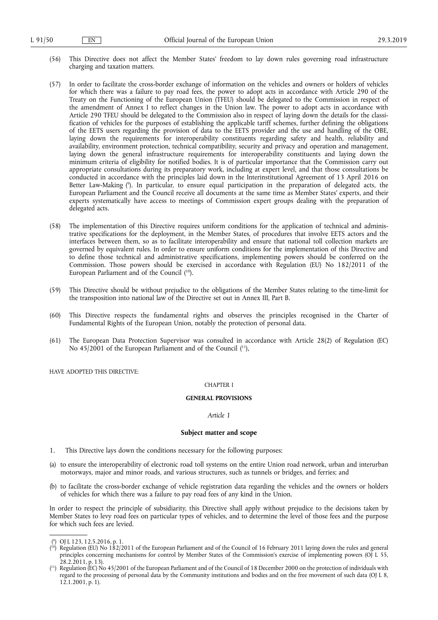- (56) This Directive does not affect the Member States' freedom to lay down rules governing road infrastructure charging and taxation matters.
- (57) In order to facilitate the cross-border exchange of information on the vehicles and owners or holders of vehicles for which there was a failure to pay road fees, the power to adopt acts in accordance with Article 290 of the Treaty on the Functioning of the European Union (TFEU) should be delegated to the Commission in respect of the amendment of Annex I to reflect changes in the Union law. The power to adopt acts in accordance with Article 290 TFEU should be delegated to the Commission also in respect of laying down the details for the classification of vehicles for the purposes of establishing the applicable tariff schemes, further defining the obligations of the EETS users regarding the provision of data to the EETS provider and the use and handling of the OBE, laying down the requirements for interoperability constituents regarding safety and health, reliability and availability, environment protection, technical compatibility, security and privacy and operation and management, laying down the general infrastructure requirements for interoperability constituents and laying down the minimum criteria of eligibility for notified bodies. It is of particular importance that the Commission carry out appropriate consultations during its preparatory work, including at expert level, and that those consultations be conducted in accordance with the principles laid down in the Interinstitutional Agreement of 13 April 2016 on Better Law-Making ( 9 ). In particular, to ensure equal participation in the preparation of delegated acts, the European Parliament and the Council receive all documents at the same time as Member States' experts, and their experts systematically have access to meetings of Commission expert groups dealing with the preparation of delegated acts.
- (58) The implementation of this Directive requires uniform conditions for the application of technical and administrative specifications for the deployment, in the Member States, of procedures that involve EETS actors and the interfaces between them, so as to facilitate interoperability and ensure that national toll collection markets are governed by equivalent rules. In order to ensure uniform conditions for the implementation of this Directive and to define those technical and administrative specifications, implementing powers should be conferred on the Commission. Those powers should be exercised in accordance with Regulation (EU) No 182/2011 of the European Parliament and of the Council  $(1^0)$ .
- (59) This Directive should be without prejudice to the obligations of the Member States relating to the time-limit for the transposition into national law of the Directive set out in Annex III, Part B.
- (60) This Directive respects the fundamental rights and observes the principles recognised in the Charter of Fundamental Rights of the European Union, notably the protection of personal data.
- (61) The European Data Protection Supervisor was consulted in accordance with Article 28(2) of Regulation (EC) No  $45/2001$  of the European Parliament and of the Council  $(1)$ ,

HAVE ADOPTED THIS DIRECTIVE:

#### CHAPTER I

#### **GENERAL PROVISIONS**

*Article 1* 

#### **Subject matter and scope**

- 1. This Directive lays down the conditions necessary for the following purposes:
- (a) to ensure the interoperability of electronic road toll systems on the entire Union road network, urban and interurban motorways, major and minor roads, and various structures, such as tunnels or bridges, and ferries; and
- (b) to facilitate the cross-border exchange of vehicle registration data regarding the vehicles and the owners or holders of vehicles for which there was a failure to pay road fees of any kind in the Union.

In order to respect the principle of subsidiarity, this Directive shall apply without prejudice to the decisions taken by Member States to levy road fees on particular types of vehicles, and to determine the level of those fees and the purpose for which such fees are levied.

<sup>(</sup> 9 ) OJ L 123, 12.5.2016, p. 1.

<sup>(</sup> 10) Regulation (EU) No 182/2011 of the European Parliament and of the Council of 16 February 2011 laying down the rules and general principles concerning mechanisms for control by Member States of the Commission's exercise of implementing powers (OJ L 55,  $28.2.2011$ , p. 13).

<sup>(</sup> 11) Regulation (EC) No 45/2001 of the European Parliament and of the Council of 18 December 2000 on the protection of individuals with regard to the processing of personal data by the Community institutions and bodies and on the free movement of such data (OJ L 8, 12.1.2001, p. 1).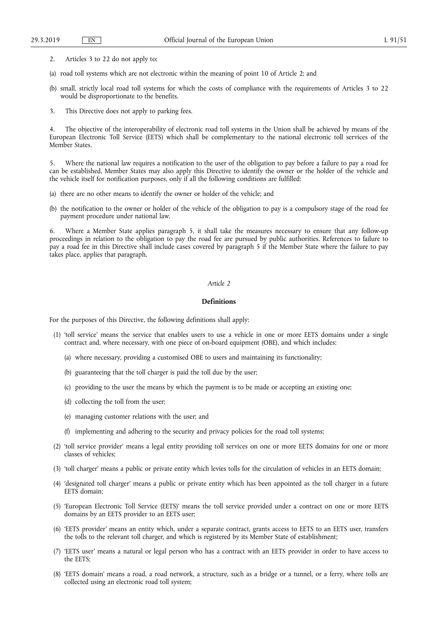- 2. Articles 3 to 22 do not apply to:
- (a) road toll systems which are not electronic within the meaning of point 10 of Article 2; and
- (b) small, strictly local road toll systems for which the costs of compliance with the requirements of Articles 3 to 22 would be disproportionate to the benefits.
- 3. This Directive does not apply to parking fees.

4. The objective of the interoperability of electronic road toll systems in the Union shall be achieved by means of the European Electronic Toll Service (EETS) which shall be complementary to the national electronic toll services of the Member States.

5. Where the national law requires a notification to the user of the obligation to pay before a failure to pay a road fee can be established, Member States may also apply this Directive to identify the owner or the holder of the vehicle and the vehicle itself for notification purposes, only if all the following conditions are fulfilled:

- (a) there are no other means to identify the owner or holder of the vehicle; and
- (b) the notification to the owner or holder of the vehicle of the obligation to pay is a compulsory stage of the road fee payment procedure under national law.

Where a Member State applies paragraph 5, it shall take the measures necessary to ensure that any follow-up proceedings in relation to the obligation to pay the road fee are pursued by public authorities. References to failure to pay a road fee in this Directive shall include cases covered by paragraph 5 if the Member State where the failure to pay takes place, applies that paragraph.

#### *Article 2*

## **Definitions**

For the purposes of this Directive, the following definitions shall apply:

- (1) 'toll service' means the service that enables users to use a vehicle in one or more EETS domains under a single contract and, where necessary, with one piece of on-board equipment (OBE), and which includes:
	- (a) where necessary, providing a customised OBE to users and maintaining its functionality;
	- (b) guaranteeing that the toll charger is paid the toll due by the user;
	- (c) providing to the user the means by which the payment is to be made or accepting an existing one;
	- (d) collecting the toll from the user;
	- (e) managing customer relations with the user; and
	- (f) implementing and adhering to the security and privacy policies for the road toll systems;
- (2) 'toll service provider' means a legal entity providing toll services on one or more EETS domains for one or more classes of vehicles;
- (3) 'toll charger' means a public or private entity which levies tolls for the circulation of vehicles in an EETS domain;
- (4) 'designated toll charger' means a public or private entity which has been appointed as the toll charger in a future EETS domain;
- (5) 'European Electronic Toll Service (EETS)' means the toll service provided under a contract on one or more EETS domains by an EETS provider to an EETS user;
- (6) 'EETS provider' means an entity which, under a separate contract, grants access to EETS to an EETS user, transfers the tolls to the relevant toll charger, and which is registered by its Member State of establishment;
- (7) 'EETS user' means a natural or legal person who has a contract with an EETS provider in order to have access to the EETS;
- (8) 'EETS domain' means a road, a road network, a structure, such as a bridge or a tunnel, or a ferry, where tolls are collected using an electronic road toll system;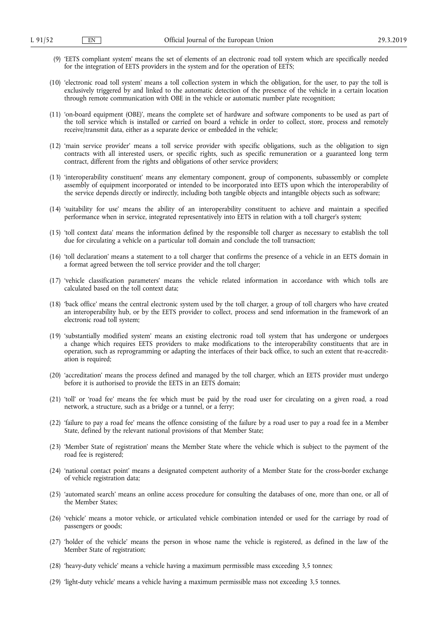- (9) 'EETS compliant system' means the set of elements of an electronic road toll system which are specifically needed for the integration of EETS providers in the system and for the operation of EETS;
- (10) 'electronic road toll system' means a toll collection system in which the obligation, for the user, to pay the toll is exclusively triggered by and linked to the automatic detection of the presence of the vehicle in a certain location through remote communication with OBE in the vehicle or automatic number plate recognition;
- (11) 'on-board equipment (OBE)', means the complete set of hardware and software components to be used as part of the toll service which is installed or carried on board a vehicle in order to collect, store, process and remotely receive/transmit data, either as a separate device or embedded in the vehicle;
- (12) 'main service provider' means a toll service provider with specific obligations, such as the obligation to sign contracts with all interested users, or specific rights, such as specific remuneration or a guaranteed long term contract, different from the rights and obligations of other service providers;
- (13) 'interoperability constituent' means any elementary component, group of components, subassembly or complete assembly of equipment incorporated or intended to be incorporated into EETS upon which the interoperability of the service depends directly or indirectly, including both tangible objects and intangible objects such as software;
- (14) 'suitability for use' means the ability of an interoperability constituent to achieve and maintain a specified performance when in service, integrated representatively into EETS in relation with a toll charger's system;
- (15) 'toll context data' means the information defined by the responsible toll charger as necessary to establish the toll due for circulating a vehicle on a particular toll domain and conclude the toll transaction;
- (16) 'toll declaration' means a statement to a toll charger that confirms the presence of a vehicle in an EETS domain in a format agreed between the toll service provider and the toll charger;
- (17) 'vehicle classification parameters' means the vehicle related information in accordance with which tolls are calculated based on the toll context data;
- (18) 'back office' means the central electronic system used by the toll charger, a group of toll chargers who have created an interoperability hub, or by the EETS provider to collect, process and send information in the framework of an electronic road toll system;
- (19) 'substantially modified system' means an existing electronic road toll system that has undergone or undergoes a change which requires EETS providers to make modifications to the interoperability constituents that are in operation, such as reprogramming or adapting the interfaces of their back office, to such an extent that re-accreditation is required;
- (20) 'accreditation' means the process defined and managed by the toll charger, which an EETS provider must undergo before it is authorised to provide the EETS in an EETS domain;
- (21) 'toll' or 'road fee' means the fee which must be paid by the road user for circulating on a given road, a road network, a structure, such as a bridge or a tunnel, or a ferry;
- (22) 'failure to pay a road fee' means the offence consisting of the failure by a road user to pay a road fee in a Member State, defined by the relevant national provisions of that Member State;
- (23) 'Member State of registration' means the Member State where the vehicle which is subject to the payment of the road fee is registered;
- (24) 'national contact point' means a designated competent authority of a Member State for the cross-border exchange of vehicle registration data;
- (25) 'automated search' means an online access procedure for consulting the databases of one, more than one, or all of the Member States;
- (26) 'vehicle' means a motor vehicle, or articulated vehicle combination intended or used for the carriage by road of passengers or goods;
- (27) 'holder of the vehicle' means the person in whose name the vehicle is registered, as defined in the law of the Member State of registration;
- (28) 'heavy-duty vehicle' means a vehicle having a maximum permissible mass exceeding 3,5 tonnes;
- (29) 'light-duty vehicle' means a vehicle having a maximum permissible mass not exceeding 3,5 tonnes.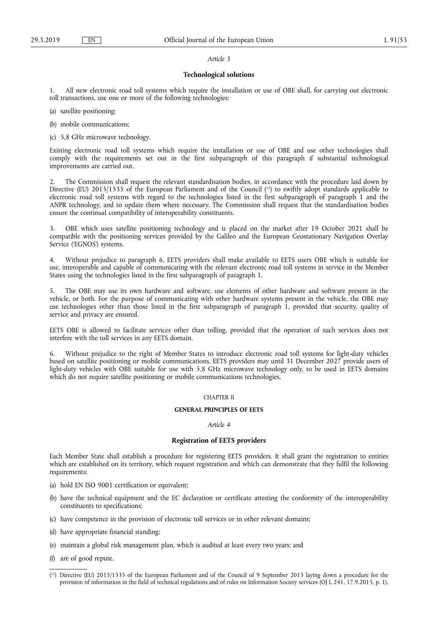#### *Article 3*

#### **Technological solutions**

1. All new electronic road toll systems which require the installation or use of OBE shall, for carrying out electronic toll transactions, use one or more of the following technologies:

(a) satellite positioning;

- (b) mobile communications;
- (c) 5,8 GHz microwave technology.

Existing electronic road toll systems which require the installation or use of OBE and use other technologies shall comply with the requirements set out in the first subparagraph of this paragraph if substantial technological improvements are carried out.

2. The Commission shall request the relevant standardisation bodies, in accordance with the procedure laid down by Directive (EU) 2015/1535 of the European Parliament and of the Council (<sup>12</sup>) to swiftly adopt standards applicable to electronic road toll systems with regard to the technologies listed in the first subparagraph of paragraph 1 and the ANPR technology, and to update them where necessary. The Commission shall request that the standardisation bodies ensure the continual compatibility of interoperability constituents.

3. OBE which uses satellite positioning technology and is placed on the market after 19 October 2021 shall be compatible with the positioning services provided by the Galileo and the European Geostationary Navigation Overlay Service ('EGNOS') systems.

4. Without prejudice to paragraph 6, EETS providers shall make available to EETS users OBE which is suitable for use, interoperable and capable of communicating with the relevant electronic road toll systems in service in the Member States using the technologies listed in the first subparagraph of paragraph 1.

5. The OBE may use its own hardware and software, use elements of other hardware and software present in the vehicle, or both. For the purpose of communicating with other hardware systems present in the vehicle, the OBE may use technologies other than those listed in the first subparagraph of paragraph 1, provided that security, quality of service and privacy are ensured.

EETS OBE is allowed to facilitate services other than tolling, provided that the operation of such services does not interfere with the toll services in any EETS domain.

6. Without prejudice to the right of Member States to introduce electronic road toll systems for light-duty vehicles based on satellite positioning or mobile communications, EETS providers may until 31 December 2027 provide users of light-duty vehicles with OBE suitable for use with 5,8 GHz microwave technology only, to be used in EETS domains which do not require satellite positioning or mobile communications technologies.

#### CHAPTER II

## **GENERAL PRINCIPLES OF EETS**

#### *Article 4*

#### **Registration of EETS providers**

Each Member State shall establish a procedure for registering EETS providers. It shall grant the registration to entities which are established on its territory, which request registration and which can demonstrate that they fulfil the following requirements:

- (a) hold EN ISO 9001 certification or equivalent;
- (b) have the technical equipment and the EC declaration or certificate attesting the conformity of the interoperability constituents to specifications;
- (c) have competence in the provision of electronic toll services or in other relevant domains;
- (d) have appropriate financial standing;
- (e) maintain a global risk management plan, which is audited at least every two years; and
- (f) are of good repute.

<sup>(</sup> 12) Directive (EU) 2015/1535 of the European Parliament and of the Council of 9 September 2015 laying down a procedure for the provision of information in the field of technical regulations and of rules on Information Society services (OJ L 241, 17.9.2015, p. 1).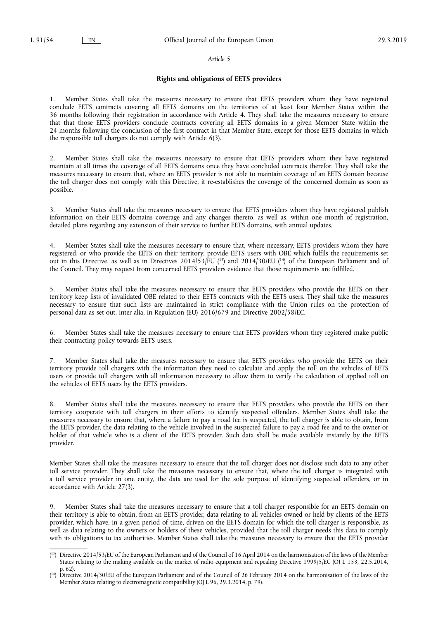#### *Article 5*

#### **Rights and obligations of EETS providers**

1. Member States shall take the measures necessary to ensure that EETS providers whom they have registered conclude EETS contracts covering all EETS domains on the territories of at least four Member States within the 36 months following their registration in accordance with Article 4. They shall take the measures necessary to ensure that that those EETS providers conclude contracts covering all EETS domains in a given Member State within the 24 months following the conclusion of the first contract in that Member State, except for those EETS domains in which the responsible toll chargers do not comply with Article 6(3).

2. Member States shall take the measures necessary to ensure that EETS providers whom they have registered maintain at all times the coverage of all EETS domains once they have concluded contracts therefor. They shall take the measures necessary to ensure that, where an EETS provider is not able to maintain coverage of an EETS domain because the toll charger does not comply with this Directive, it re-establishes the coverage of the concerned domain as soon as possible.

3. Member States shall take the measures necessary to ensure that EETS providers whom they have registered publish information on their EETS domains coverage and any changes thereto, as well as, within one month of registration, detailed plans regarding any extension of their service to further EETS domains, with annual updates.

Member States shall take the measures necessary to ensure that, where necessary, EETS providers whom they have registered, or who provide the EETS on their territory, provide EETS users with OBE which fulfils the requirements set out in this Directive, as well as in Directives  $2014/53/EU$  (<sup>13</sup>) and  $2014/30/EU$  (<sup>14</sup>) of the European Parliament and of the Council. They may request from concerned EETS providers evidence that those requirements are fulfilled.

5. Member States shall take the measures necessary to ensure that EETS providers who provide the EETS on their territory keep lists of invalidated OBE related to their EETS contracts with the EETS users. They shall take the measures necessary to ensure that such lists are maintained in strict compliance with the Union rules on the protection of personal data as set out, inter alia, in Regulation (EU) 2016/679 and Directive 2002/58/EC.

Member States shall take the measures necessary to ensure that EETS providers whom they registered make public their contracting policy towards EETS users.

7. Member States shall take the measures necessary to ensure that EETS providers who provide the EETS on their territory provide toll chargers with the information they need to calculate and apply the toll on the vehicles of EETS users or provide toll chargers with all information necessary to allow them to verify the calculation of applied toll on the vehicles of EETS users by the EETS providers.

8. Member States shall take the measures necessary to ensure that EETS providers who provide the EETS on their territory cooperate with toll chargers in their efforts to identify suspected offenders. Member States shall take the measures necessary to ensure that, where a failure to pay a road fee is suspected, the toll charger is able to obtain, from the EETS provider, the data relating to the vehicle involved in the suspected failure to pay a road fee and to the owner or holder of that vehicle who is a client of the EETS provider. Such data shall be made available instantly by the EETS provider.

Member States shall take the measures necessary to ensure that the toll charger does not disclose such data to any other toll service provider. They shall take the measures necessary to ensure that, where the toll charger is integrated with a toll service provider in one entity, the data are used for the sole purpose of identifying suspected offenders, or in accordance with Article 27(3).

9. Member States shall take the measures necessary to ensure that a toll charger responsible for an EETS domain on their territory is able to obtain, from an EETS provider, data relating to all vehicles owned or held by clients of the EETS provider, which have, in a given period of time, driven on the EETS domain for which the toll charger is responsible, as well as data relating to the owners or holders of these vehicles, provided that the toll charger needs this data to comply with its obligations to tax authorities. Member States shall take the measures necessary to ensure that the EETS provider

<sup>(</sup> 13) Directive 2014/53/EU of the European Parliament and of the Council of 16 April 2014 on the harmonisation of the laws of the Member States relating to the making available on the market of radio equipment and repealing Directive 1999/5/EC (OJ L 153, 22.5.2014, p. 62).

<sup>(</sup> 14) Directive 2014/30/EU of the European Parliament and of the Council of 26 February 2014 on the harmonisation of the laws of the Member States relating to electromagnetic compatibility (OJ L 96, 29.3.2014, p. 79).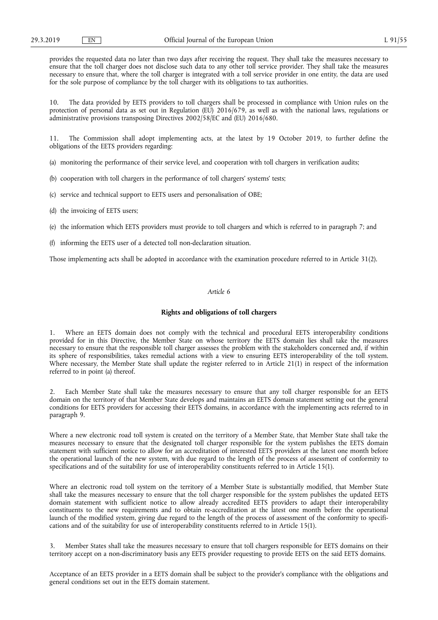provides the requested data no later than two days after receiving the request. They shall take the measures necessary to ensure that the toll charger does not disclose such data to any other toll service provider. They shall take the measures necessary to ensure that, where the toll charger is integrated with a toll service provider in one entity, the data are used for the sole purpose of compliance by the toll charger with its obligations to tax authorities.

10. The data provided by EETS providers to toll chargers shall be processed in compliance with Union rules on the protection of personal data as set out in Regulation (EU) 2016/679, as well as with the national laws, regulations or administrative provisions transposing Directives 2002/58/EC and (EU) 2016/680.

11. The Commission shall adopt implementing acts, at the latest by 19 October 2019, to further define the obligations of the EETS providers regarding:

(a) monitoring the performance of their service level, and cooperation with toll chargers in verification audits;

- (b) cooperation with toll chargers in the performance of toll chargers' systems' tests;
- (c) service and technical support to EETS users and personalisation of OBE;
- (d) the invoicing of EETS users;
- (e) the information which EETS providers must provide to toll chargers and which is referred to in paragraph 7; and
- (f) informing the EETS user of a detected toll non-declaration situation.

Those implementing acts shall be adopted in accordance with the examination procedure referred to in Article 31(2).

#### *Article 6*

#### **Rights and obligations of toll chargers**

Where an EETS domain does not comply with the technical and procedural EETS interoperability conditions provided for in this Directive, the Member State on whose territory the EETS domain lies shall take the measures necessary to ensure that the responsible toll charger assesses the problem with the stakeholders concerned and, if within its sphere of responsibilities, takes remedial actions with a view to ensuring EETS interoperability of the toll system. Where necessary, the Member State shall update the register referred to in Article 21(1) in respect of the information referred to in point (a) thereof.

2. Each Member State shall take the measures necessary to ensure that any toll charger responsible for an EETS domain on the territory of that Member State develops and maintains an EETS domain statement setting out the general conditions for EETS providers for accessing their EETS domains, in accordance with the implementing acts referred to in paragraph 9.

Where a new electronic road toll system is created on the territory of a Member State, that Member State shall take the measures necessary to ensure that the designated toll charger responsible for the system publishes the EETS domain statement with sufficient notice to allow for an accreditation of interested EETS providers at the latest one month before the operational launch of the new system, with due regard to the length of the process of assessment of conformity to specifications and of the suitability for use of interoperability constituents referred to in Article 15(1).

Where an electronic road toll system on the territory of a Member State is substantially modified, that Member State shall take the measures necessary to ensure that the toll charger responsible for the system publishes the updated EETS domain statement with sufficient notice to allow already accredited EETS providers to adapt their interoperability constituents to the new requirements and to obtain re-accreditation at the latest one month before the operational launch of the modified system, giving due regard to the length of the process of assessment of the conformity to specifications and of the suitability for use of interoperability constituents referred to in Article 15(1).

3. Member States shall take the measures necessary to ensure that toll chargers responsible for EETS domains on their territory accept on a non-discriminatory basis any EETS provider requesting to provide EETS on the said EETS domains.

Acceptance of an EETS provider in a EETS domain shall be subject to the provider's compliance with the obligations and general conditions set out in the EETS domain statement.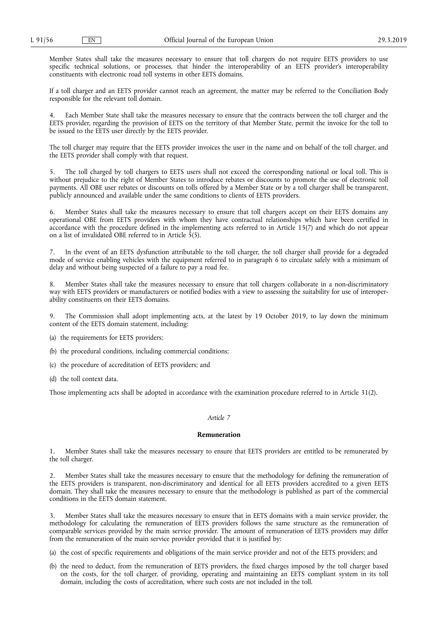Member States shall take the measures necessary to ensure that toll chargers do not require EETS providers to use specific technical solutions, or processes, that hinder the interoperability of an EETS provider's interoperability constituents with electronic road toll systems in other EETS domains.

If a toll charger and an EETS provider cannot reach an agreement, the matter may be referred to the Conciliation Body responsible for the relevant toll domain.

4. Each Member State shall take the measures necessary to ensure that the contracts between the toll charger and the EETS provider, regarding the provision of EETS on the territory of that Member State, permit the invoice for the toll to be issued to the EETS user directly by the EETS provider.

The toll charger may require that the EETS provider invoices the user in the name and on behalf of the toll charger, and the EETS provider shall comply with that request.

5. The toll charged by toll chargers to EETS users shall not exceed the corresponding national or local toll. This is without prejudice to the right of Member States to introduce rebates or discounts to promote the use of electronic toll payments. All OBE user rebates or discounts on tolls offered by a Member State or by a toll charger shall be transparent, publicly announced and available under the same conditions to clients of EETS providers.

6. Member States shall take the measures necessary to ensure that toll chargers accept on their EETS domains any operational OBE from EETS providers with whom they have contractual relationships which have been certified in accordance with the procedure defined in the implementing acts referred to in Article 15(7) and which do not appear on a list of invalidated OBE referred to in Article 5(5).

7. In the event of an EETS dysfunction attributable to the toll charger, the toll charger shall provide for a degraded mode of service enabling vehicles with the equipment referred to in paragraph 6 to circulate safely with a minimum of delay and without being suspected of a failure to pay a road fee.

8. Member States shall take the measures necessary to ensure that toll chargers collaborate in a non-discriminatory way with EETS providers or manufacturers or notified bodies with a view to assessing the suitability for use of interoperability constituents on their EETS domains.

9. The Commission shall adopt implementing acts, at the latest by 19 October 2019, to lay down the minimum content of the EETS domain statement, including:

(a) the requirements for EETS providers;

(b) the procedural conditions, including commercial conditions;

(c) the procedure of accreditation of EETS providers; and

(d) the toll context data.

Those implementing acts shall be adopted in accordance with the examination procedure referred to in Article 31(2).

### *Article 7*

## **Remuneration**

1. Member States shall take the measures necessary to ensure that EETS providers are entitled to be remunerated by the toll charger.

2. Member States shall take the measures necessary to ensure that the methodology for defining the remuneration of the EETS providers is transparent, non-discriminatory and identical for all EETS providers accredited to a given EETS domain. They shall take the measures necessary to ensure that the methodology is published as part of the commercial conditions in the EETS domain statement.

3. Member States shall take the measures necessary to ensure that in EETS domains with a main service provider, the methodology for calculating the remuneration of EETS providers follows the same structure as the remuneration of comparable services provided by the main service provider. The amount of remuneration of EETS providers may differ from the remuneration of the main service provider provided that it is justified by:

(a) the cost of specific requirements and obligations of the main service provider and not of the EETS providers; and

(b) the need to deduct, from the remuneration of EETS providers, the fixed charges imposed by the toll charger based on the costs, for the toll charger, of providing, operating and maintaining an EETS compliant system in its toll domain, including the costs of accreditation, where such costs are not included in the toll.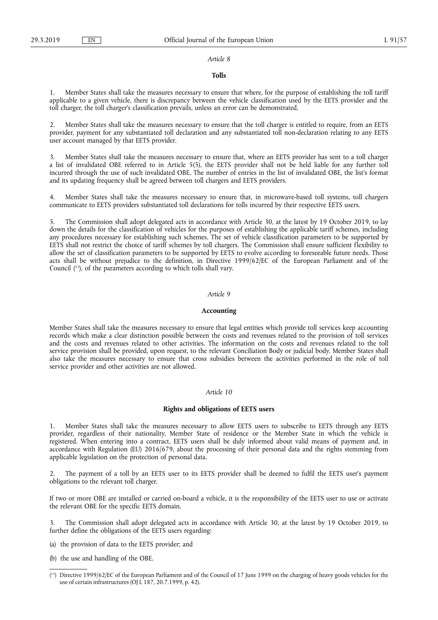#### *Article 8*

#### **Tolls**

1. Member States shall take the measures necessary to ensure that where, for the purpose of establishing the toll tariff applicable to a given vehicle, there is discrepancy between the vehicle classification used by the EETS provider and the toll charger, the toll charger's classification prevails, unless an error can be demonstrated.

2. Member States shall take the measures necessary to ensure that the toll charger is entitled to require, from an EETS provider, payment for any substantiated toll declaration and any substantiated toll non-declaration relating to any EETS user account managed by that EETS provider.

3. Member States shall take the measures necessary to ensure that, where an EETS provider has sent to a toll charger a list of invalidated OBE referred to in Article 5(5), the EETS provider shall not be held liable for any further toll incurred through the use of such invalidated OBE. The number of entries in the list of invalidated OBE, the list's format and its updating frequency shall be agreed between toll chargers and EETS providers.

4. Member States shall take the measures necessary to ensure that, in microwave-based toll systems, toll chargers communicate to EETS providers substantiated toll declarations for tolls incurred by their respective EETS users.

5. The Commission shall adopt delegated acts in accordance with Article 30, at the latest by 19 October 2019, to lay down the details for the classification of vehicles for the purposes of establishing the applicable tariff schemes, including any procedures necessary for establishing such schemes. The set of vehicle classification parameters to be supported by EETS shall not restrict the choice of tariff schemes by toll chargers. The Commission shall ensure sufficient flexibility to allow the set of classification parameters to be supported by EETS to evolve according to foreseeable future needs. Those acts shall be without prejudice to the definition, in Directive 1999/62/EC of the European Parliament and of the Council ( 15), of the parameters according to which tolls shall vary.

#### *Article 9*

#### **Accounting**

Member States shall take the measures necessary to ensure that legal entities which provide toll services keep accounting records which make a clear distinction possible between the costs and revenues related to the provision of toll services and the costs and revenues related to other activities. The information on the costs and revenues related to the toll service provision shall be provided, upon request, to the relevant Conciliation Body or judicial body. Member States shall also take the measures necessary to ensure that cross subsidies between the activities performed in the role of toll service provider and other activities are not allowed.

#### *Article 10*

### **Rights and obligations of EETS users**

1. Member States shall take the measures necessary to allow EETS users to subscribe to EETS through any EETS provider, regardless of their nationality, Member State of residence or the Member State in which the vehicle is registered. When entering into a contract, EETS users shall be duly informed about valid means of payment and, in accordance with Regulation (EU) 2016/679, about the processing of their personal data and the rights stemming from applicable legislation on the protection of personal data.

2. The payment of a toll by an EETS user to its EETS provider shall be deemed to fulfil the EETS user's payment obligations to the relevant toll charger.

If two or more OBE are installed or carried on-board a vehicle, it is the responsibility of the EETS user to use or activate the relevant OBE for the specific EETS domain.

The Commission shall adopt delegated acts in accordance with Article 30, at the latest by 19 October 2019, to further define the obligations of the EETS users regarding:

- (a) the provision of data to the EETS provider; and
- (b) the use and handling of the OBE.

<sup>(</sup> 15) Directive 1999/62/EC of the European Parliament and of the Council of 17 June 1999 on the charging of heavy goods vehicles for the use of certain infrastructures (OJ L 187, 20.7.1999, p. 42).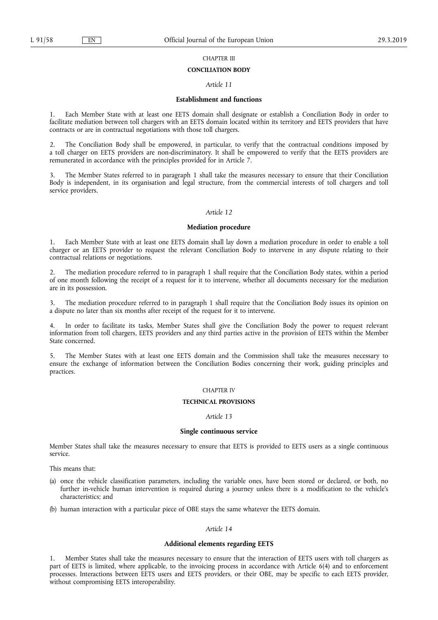## CHAPTER III

#### **CONCILIATION BODY**

#### *Article 11*

#### **Establishment and functions**

1. Each Member State with at least one EETS domain shall designate or establish a Conciliation Body in order to facilitate mediation between toll chargers with an EETS domain located within its territory and EETS providers that have contracts or are in contractual negotiations with those toll chargers.

2. The Conciliation Body shall be empowered, in particular, to verify that the contractual conditions imposed by a toll charger on EETS providers are non-discriminatory. It shall be empowered to verify that the EETS providers are remunerated in accordance with the principles provided for in Article 7.

3. The Member States referred to in paragraph 1 shall take the measures necessary to ensure that their Conciliation Body is independent, in its organisation and legal structure, from the commercial interests of toll chargers and toll service providers.

#### *Article 12*

#### **Mediation procedure**

1. Each Member State with at least one EETS domain shall lay down a mediation procedure in order to enable a toll charger or an EETS provider to request the relevant Conciliation Body to intervene in any dispute relating to their contractual relations or negotiations.

2. The mediation procedure referred to in paragraph 1 shall require that the Conciliation Body states, within a period of one month following the receipt of a request for it to intervene, whether all documents necessary for the mediation are in its possession.

3. The mediation procedure referred to in paragraph 1 shall require that the Conciliation Body issues its opinion on a dispute no later than six months after receipt of the request for it to intervene.

In order to facilitate its tasks, Member States shall give the Conciliation Body the power to request relevant information from toll chargers, EETS providers and any third parties active in the provision of EETS within the Member State concerned.

5. The Member States with at least one EETS domain and the Commission shall take the measures necessary to ensure the exchange of information between the Conciliation Bodies concerning their work, guiding principles and practices.

#### CHAPTER IV

### **TECHNICAL PROVISIONS**

#### *Article 13*

#### **Single continuous service**

Member States shall take the measures necessary to ensure that EETS is provided to EETS users as a single continuous service.

This means that:

- (a) once the vehicle classification parameters, including the variable ones, have been stored or declared, or both, no further in-vehicle human intervention is required during a journey unless there is a modification to the vehicle's characteristics; and
- (b) human interaction with a particular piece of OBE stays the same whatever the EETS domain.

## *Article 14*

## **Additional elements regarding EETS**

1. Member States shall take the measures necessary to ensure that the interaction of EETS users with toll chargers as part of EETS is limited, where applicable, to the invoicing process in accordance with Article 6(4) and to enforcement processes. Interactions between EETS users and EETS providers, or their OBE, may be specific to each EETS provider, without compromising EETS interoperability.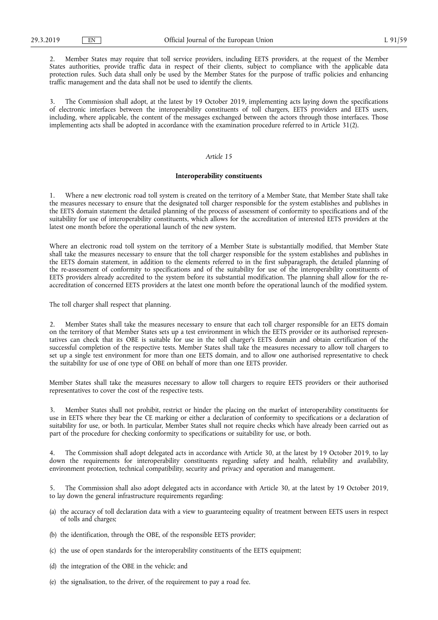2. Member States may require that toll service providers, including EETS providers, at the request of the Member States authorities, provide traffic data in respect of their clients, subject to compliance with the applicable data protection rules. Such data shall only be used by the Member States for the purpose of traffic policies and enhancing traffic management and the data shall not be used to identify the clients.

The Commission shall adopt, at the latest by 19 October 2019, implementing acts laying down the specifications of electronic interfaces between the interoperability constituents of toll chargers, EETS providers and EETS users, including, where applicable, the content of the messages exchanged between the actors through those interfaces. Those implementing acts shall be adopted in accordance with the examination procedure referred to in Article 31(2).

#### *Article 15*

#### **Interoperability constituents**

1. Where a new electronic road toll system is created on the territory of a Member State, that Member State shall take the measures necessary to ensure that the designated toll charger responsible for the system establishes and publishes in the EETS domain statement the detailed planning of the process of assessment of conformity to specifications and of the suitability for use of interoperability constituents, which allows for the accreditation of interested EETS providers at the latest one month before the operational launch of the new system.

Where an electronic road toll system on the territory of a Member State is substantially modified, that Member State shall take the measures necessary to ensure that the toll charger responsible for the system establishes and publishes in the EETS domain statement, in addition to the elements referred to in the first subparagraph, the detailed planning of the re-assessment of conformity to specifications and of the suitability for use of the interoperability constituents of EETS providers already accredited to the system before its substantial modification. The planning shall allow for the reaccreditation of concerned EETS providers at the latest one month before the operational launch of the modified system.

The toll charger shall respect that planning.

2. Member States shall take the measures necessary to ensure that each toll charger responsible for an EETS domain on the territory of that Member States sets up a test environment in which the EETS provider or its authorised representatives can check that its OBE is suitable for use in the toll charger's EETS domain and obtain certification of the successful completion of the respective tests. Member States shall take the measures necessary to allow toll chargers to set up a single test environment for more than one EETS domain, and to allow one authorised representative to check the suitability for use of one type of OBE on behalf of more than one EETS provider.

Member States shall take the measures necessary to allow toll chargers to require EETS providers or their authorised representatives to cover the cost of the respective tests.

3. Member States shall not prohibit, restrict or hinder the placing on the market of interoperability constituents for use in EETS where they bear the CE marking or either a declaration of conformity to specifications or a declaration of suitability for use, or both. In particular, Member States shall not require checks which have already been carried out as part of the procedure for checking conformity to specifications or suitability for use, or both.

4. The Commission shall adopt delegated acts in accordance with Article 30, at the latest by 19 October 2019, to lay down the requirements for interoperability constituents regarding safety and health, reliability and availability, environment protection, technical compatibility, security and privacy and operation and management.

5. The Commission shall also adopt delegated acts in accordance with Article 30, at the latest by 19 October 2019, to lay down the general infrastructure requirements regarding:

- (a) the accuracy of toll declaration data with a view to guaranteeing equality of treatment between EETS users in respect of tolls and charges;
- (b) the identification, through the OBE, of the responsible EETS provider;
- (c) the use of open standards for the interoperability constituents of the EETS equipment;
- (d) the integration of the OBE in the vehicle; and
- (e) the signalisation, to the driver, of the requirement to pay a road fee.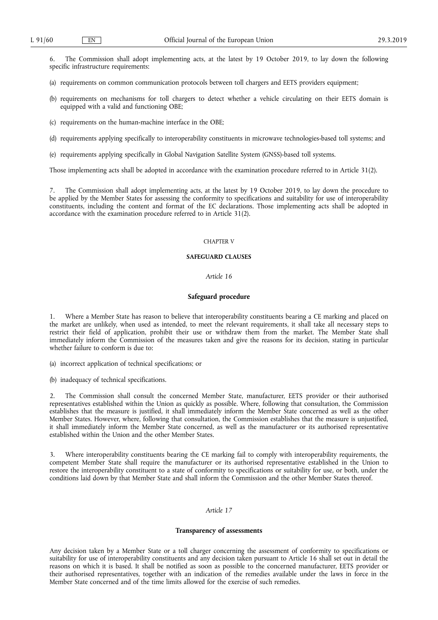6. The Commission shall adopt implementing acts, at the latest by 19 October 2019, to lay down the following specific infrastructure requirements:

- (a) requirements on common communication protocols between toll chargers and EETS providers equipment;
- (b) requirements on mechanisms for toll chargers to detect whether a vehicle circulating on their EETS domain is equipped with a valid and functioning OBE;
- (c) requirements on the human-machine interface in the OBE;
- (d) requirements applying specifically to interoperability constituents in microwave technologies-based toll systems; and
- (e) requirements applying specifically in Global Navigation Satellite System (GNSS)-based toll systems.

Those implementing acts shall be adopted in accordance with the examination procedure referred to in Article 31(2).

7. The Commission shall adopt implementing acts, at the latest by 19 October 2019, to lay down the procedure to be applied by the Member States for assessing the conformity to specifications and suitability for use of interoperability constituents, including the content and format of the EC declarations. Those implementing acts shall be adopted in accordance with the examination procedure referred to in Article 31(2).

#### CHAPTER V

#### **SAFEGUARD CLAUSES**

#### *Article 16*

## **Safeguard procedure**

1. Where a Member State has reason to believe that interoperability constituents bearing a CE marking and placed on the market are unlikely, when used as intended, to meet the relevant requirements, it shall take all necessary steps to restrict their field of application, prohibit their use or withdraw them from the market. The Member State shall immediately inform the Commission of the measures taken and give the reasons for its decision, stating in particular whether failure to conform is due to:

(a) incorrect application of technical specifications; or

(b) inadequacy of technical specifications.

2. The Commission shall consult the concerned Member State, manufacturer, EETS provider or their authorised representatives established within the Union as quickly as possible. Where, following that consultation, the Commission establishes that the measure is justified, it shall immediately inform the Member State concerned as well as the other Member States. However, where, following that consultation, the Commission establishes that the measure is unjustified, it shall immediately inform the Member State concerned, as well as the manufacturer or its authorised representative established within the Union and the other Member States.

3. Where interoperability constituents bearing the CE marking fail to comply with interoperability requirements, the competent Member State shall require the manufacturer or its authorised representative established in the Union to restore the interoperability constituent to a state of conformity to specifications or suitability for use, or both, under the conditions laid down by that Member State and shall inform the Commission and the other Member States thereof.

## *Article 17*

#### **Transparency of assessments**

Any decision taken by a Member State or a toll charger concerning the assessment of conformity to specifications or suitability for use of interoperability constituents and any decision taken pursuant to Article 16 shall set out in detail the reasons on which it is based. It shall be notified as soon as possible to the concerned manufacturer, EETS provider or their authorised representatives, together with an indication of the remedies available under the laws in force in the Member State concerned and of the time limits allowed for the exercise of such remedies.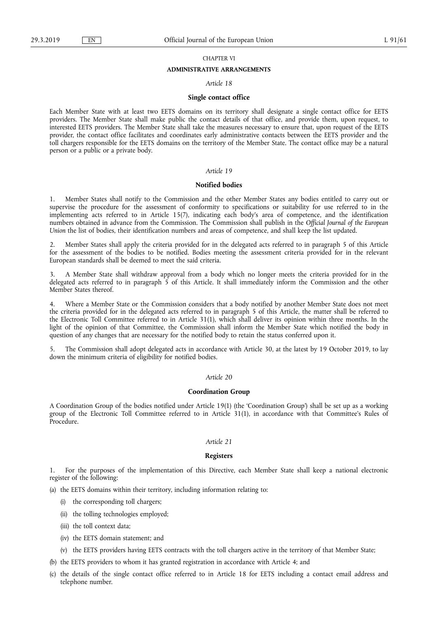## CHAPTER VI

## **ADMINISTRATIVE ARRANGEMENTS**

#### *Article 18*

#### **Single contact office**

Each Member State with at least two EETS domains on its territory shall designate a single contact office for EETS providers. The Member State shall make public the contact details of that office, and provide them, upon request, to interested EETS providers. The Member State shall take the measures necessary to ensure that, upon request of the EETS provider, the contact office facilitates and coordinates early administrative contacts between the EETS provider and the toll chargers responsible for the EETS domains on the territory of the Member State. The contact office may be a natural person or a public or a private body.

#### *Article 19*

#### **Notified bodies**

1. Member States shall notify to the Commission and the other Member States any bodies entitled to carry out or supervise the procedure for the assessment of conformity to specifications or suitability for use referred to in the implementing acts referred to in Article 15(7), indicating each body's area of competence, and the identification numbers obtained in advance from the Commission. The Commission shall publish in the *Official Journal of the European Union the list of bodies, their identification numbers and areas of competence, and shall keep the list updated.* 

2. Member States shall apply the criteria provided for in the delegated acts referred to in paragraph 5 of this Article for the assessment of the bodies to be notified. Bodies meeting the assessment criteria provided for in the relevant European standards shall be deemed to meet the said criteria.

3. A Member State shall withdraw approval from a body which no longer meets the criteria provided for in the delegated acts referred to in paragraph 5 of this Article. It shall immediately inform the Commission and the other Member States thereof.

4. Where a Member State or the Commission considers that a body notified by another Member State does not meet the criteria provided for in the delegated acts referred to in paragraph 5 of this Article, the matter shall be referred to the Electronic Toll Committee referred to in Article 31(1), which shall deliver its opinion within three months. In the light of the opinion of that Committee, the Commission shall inform the Member State which notified the body in question of any changes that are necessary for the notified body to retain the status conferred upon it.

5. The Commission shall adopt delegated acts in accordance with Article 30, at the latest by 19 October 2019, to lay down the minimum criteria of eligibility for notified bodies.

#### *Article 20*

#### **Coordination Group**

A Coordination Group of the bodies notified under Article 19(1) (the 'Coordination Group') shall be set up as a working group of the Electronic Toll Committee referred to in Article 31(1), in accordance with that Committee's Rules of Procedure.

#### *Article 21*

## **Registers**

1. For the purposes of the implementation of this Directive, each Member State shall keep a national electronic register of the following:

(a) the EETS domains within their territory, including information relating to:

- (i) the corresponding toll chargers;
- (ii) the tolling technologies employed;
- (iii) the toll context data;
- (iv) the EETS domain statement; and
- (v) the EETS providers having EETS contracts with the toll chargers active in the territory of that Member State;

(b) the EETS providers to whom it has granted registration in accordance with Article 4; and

(c) the details of the single contact office referred to in Article 18 for EETS including a contact email address and telephone number.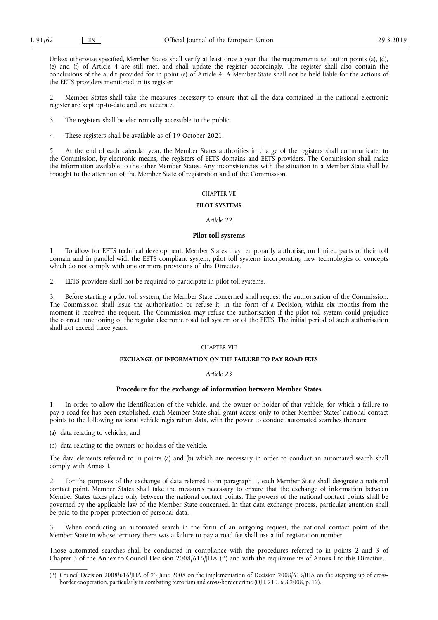Unless otherwise specified, Member States shall verify at least once a year that the requirements set out in points (a), (d), (e) and (f) of Article 4 are still met, and shall update the register accordingly. The register shall also contain the conclusions of the audit provided for in point (e) of Article 4. A Member State shall not be held liable for the actions of the EETS providers mentioned in its register.

2. Member States shall take the measures necessary to ensure that all the data contained in the national electronic register are kept up-to-date and are accurate.

3. The registers shall be electronically accessible to the public.

4. These registers shall be available as of 19 October 2021.

5. At the end of each calendar year, the Member States authorities in charge of the registers shall communicate, to the Commission, by electronic means, the registers of EETS domains and EETS providers. The Commission shall make the information available to the other Member States. Any inconsistencies with the situation in a Member State shall be brought to the attention of the Member State of registration and of the Commission.

#### CHAPTER VII

#### **PILOT SYSTEMS**

#### *Article 22*

#### **Pilot toll systems**

1. To allow for EETS technical development, Member States may temporarily authorise, on limited parts of their toll domain and in parallel with the EETS compliant system, pilot toll systems incorporating new technologies or concepts which do not comply with one or more provisions of this Directive.

2. EETS providers shall not be required to participate in pilot toll systems.

3. Before starting a pilot toll system, the Member State concerned shall request the authorisation of the Commission. The Commission shall issue the authorisation or refuse it, in the form of a Decision, within six months from the moment it received the request. The Commission may refuse the authorisation if the pilot toll system could prejudice the correct functioning of the regular electronic road toll system or of the EETS. The initial period of such authorisation shall not exceed three years.

#### CHAPTER VIII

#### **EXCHANGE OF INFORMATION ON THE FAILURE TO PAY ROAD FEES**

#### *Article 23*

#### **Procedure for the exchange of information between Member States**

1. In order to allow the identification of the vehicle, and the owner or holder of that vehicle, for which a failure to pay a road fee has been established, each Member State shall grant access only to other Member States' national contact points to the following national vehicle registration data, with the power to conduct automated searches thereon:

(a) data relating to vehicles; and

(b) data relating to the owners or holders of the vehicle.

The data elements referred to in points (a) and (b) which are necessary in order to conduct an automated search shall comply with Annex I.

2. For the purposes of the exchange of data referred to in paragraph 1, each Member State shall designate a national contact point. Member States shall take the measures necessary to ensure that the exchange of information between Member States takes place only between the national contact points. The powers of the national contact points shall be governed by the applicable law of the Member State concerned. In that data exchange process, particular attention shall be paid to the proper protection of personal data.

When conducting an automated search in the form of an outgoing request, the national contact point of the Member State in whose territory there was a failure to pay a road fee shall use a full registration number.

Those automated searches shall be conducted in compliance with the procedures referred to in points 2 and 3 of Chapter 3 of the Annex to Council Decision 2008/616/JHA  $(^{16})$  and with the requirements of Annex I to this Directive.

<sup>(</sup> 16) Council Decision 2008/616/JHA of 23 June 2008 on the implementation of Decision 2008/615/JHA on the stepping up of crossborder cooperation, particularly in combating terrorism and cross-border crime (OJ L 210, 6.8.2008, p. 12).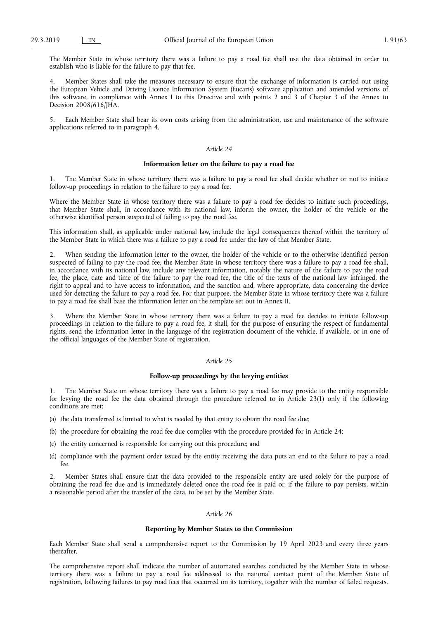The Member State in whose territory there was a failure to pay a road fee shall use the data obtained in order to establish who is liable for the failure to pay that fee.

Member States shall take the measures necessary to ensure that the exchange of information is carried out using the European Vehicle and Driving Licence Information System (Eucaris) software application and amended versions of this software, in compliance with Annex I to this Directive and with points 2 and 3 of Chapter 3 of the Annex to Decision 2008/616/JHA.

5. Each Member State shall bear its own costs arising from the administration, use and maintenance of the software applications referred to in paragraph 4.

#### *Article 24*

#### **Information letter on the failure to pay a road fee**

1. The Member State in whose territory there was a failure to pay a road fee shall decide whether or not to initiate follow-up proceedings in relation to the failure to pay a road fee.

Where the Member State in whose territory there was a failure to pay a road fee decides to initiate such proceedings, that Member State shall, in accordance with its national law, inform the owner, the holder of the vehicle or the otherwise identified person suspected of failing to pay the road fee.

This information shall, as applicable under national law, include the legal consequences thereof within the territory of the Member State in which there was a failure to pay a road fee under the law of that Member State.

2. When sending the information letter to the owner, the holder of the vehicle or to the otherwise identified person suspected of failing to pay the road fee, the Member State in whose territory there was a failure to pay a road fee shall, in accordance with its national law, include any relevant information, notably the nature of the failure to pay the road fee, the place, date and time of the failure to pay the road fee, the title of the texts of the national law infringed, the right to appeal and to have access to information, and the sanction and, where appropriate, data concerning the device used for detecting the failure to pay a road fee. For that purpose, the Member State in whose territory there was a failure to pay a road fee shall base the information letter on the template set out in Annex II.

Where the Member State in whose territory there was a failure to pay a road fee decides to initiate follow-up proceedings in relation to the failure to pay a road fee, it shall, for the purpose of ensuring the respect of fundamental rights, send the information letter in the language of the registration document of the vehicle, if available, or in one of the official languages of the Member State of registration.

#### *Article 25*

#### **Follow-up proceedings by the levying entities**

1. The Member State on whose territory there was a failure to pay a road fee may provide to the entity responsible for levying the road fee the data obtained through the procedure referred to in Article 23(1) only if the following conditions are met:

- (a) the data transferred is limited to what is needed by that entity to obtain the road fee due;
- (b) the procedure for obtaining the road fee due complies with the procedure provided for in Article 24;
- (c) the entity concerned is responsible for carrying out this procedure; and
- (d) compliance with the payment order issued by the entity receiving the data puts an end to the failure to pay a road fee.

2. Member States shall ensure that the data provided to the responsible entity are used solely for the purpose of obtaining the road fee due and is immediately deleted once the road fee is paid or, if the failure to pay persists, within a reasonable period after the transfer of the data, to be set by the Member State.

#### *Article 26*

#### **Reporting by Member States to the Commission**

Each Member State shall send a comprehensive report to the Commission by 19 April 2023 and every three years thereafter.

The comprehensive report shall indicate the number of automated searches conducted by the Member State in whose territory there was a failure to pay a road fee addressed to the national contact point of the Member State of registration, following failures to pay road fees that occurred on its territory, together with the number of failed requests.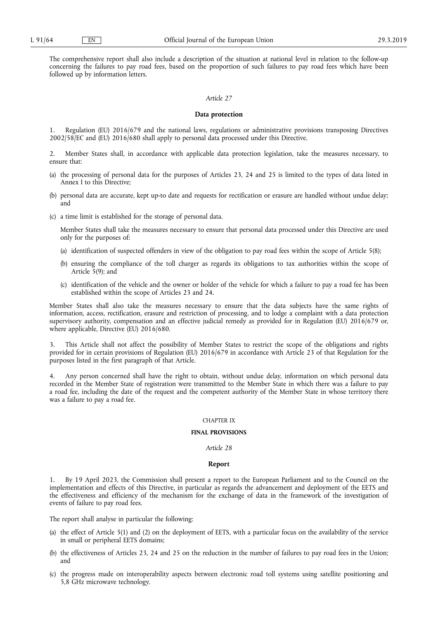The comprehensive report shall also include a description of the situation at national level in relation to the follow-up concerning the failures to pay road fees, based on the proportion of such failures to pay road fees which have been followed up by information letters.

### *Article 27*

#### **Data protection**

Regulation (EU) 2016/679 and the national laws, regulations or administrative provisions transposing Directives 2002/58/EC and (EU) 2016/680 shall apply to personal data processed under this Directive.

2. Member States shall, in accordance with applicable data protection legislation, take the measures necessary, to ensure that:

- (a) the processing of personal data for the purposes of Articles 23, 24 and 25 is limited to the types of data listed in Annex I to this Directive;
- (b) personal data are accurate, kept up-to date and requests for rectification or erasure are handled without undue delay; and
- (c) a time limit is established for the storage of personal data.

Member States shall take the measures necessary to ensure that personal data processed under this Directive are used only for the purposes of:

- (a) identification of suspected offenders in view of the obligation to pay road fees within the scope of Article 5(8);
- (b) ensuring the compliance of the toll charger as regards its obligations to tax authorities within the scope of Article 5(9); and
- (c) identification of the vehicle and the owner or holder of the vehicle for which a failure to pay a road fee has been established within the scope of Articles 23 and 24.

Member States shall also take the measures necessary to ensure that the data subjects have the same rights of information, access, rectification, erasure and restriction of processing, and to lodge a complaint with a data protection supervisory authority, compensation and an effective judicial remedy as provided for in Regulation (EU) 2016/679 or, where applicable, Directive (EU) 2016/680.

3. This Article shall not affect the possibility of Member States to restrict the scope of the obligations and rights provided for in certain provisions of Regulation (EU) 2016/679 in accordance with Article 23 of that Regulation for the purposes listed in the first paragraph of that Article.

4. Any person concerned shall have the right to obtain, without undue delay, information on which personal data recorded in the Member State of registration were transmitted to the Member State in which there was a failure to pay a road fee, including the date of the request and the competent authority of the Member State in whose territory there was a failure to pay a road fee.

#### CHAPTER IX

#### **FINAL PROVISIONS**

#### *Article 28*

#### **Report**

1. By 19 April 2023, the Commission shall present a report to the European Parliament and to the Council on the implementation and effects of this Directive, in particular as regards the advancement and deployment of the EETS and the effectiveness and efficiency of the mechanism for the exchange of data in the framework of the investigation of events of failure to pay road fees.

The report shall analyse in particular the following:

- (a) the effect of Article 5(1) and (2) on the deployment of EETS, with a particular focus on the availability of the service in small or peripheral EETS domains;
- (b) the effectiveness of Articles 23, 24 and 25 on the reduction in the number of failures to pay road fees in the Union; and
- (c) the progress made on interoperability aspects between electronic road toll systems using satellite positioning and 5,8 GHz microwave technology.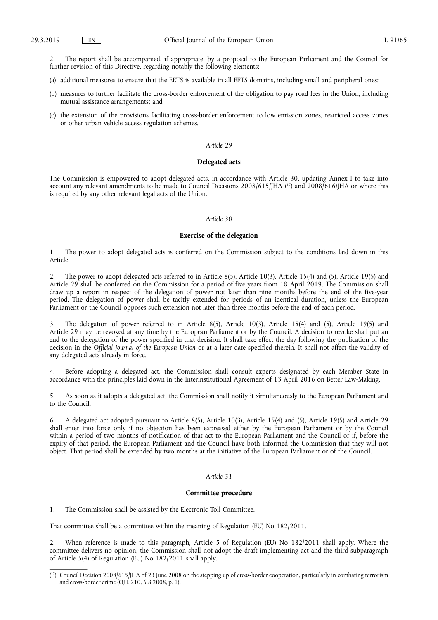2. The report shall be accompanied, if appropriate, by a proposal to the European Parliament and the Council for further revision of this Directive, regarding notably the following elements:

- (a) additional measures to ensure that the EETS is available in all EETS domains, including small and peripheral ones;
- (b) measures to further facilitate the cross-border enforcement of the obligation to pay road fees in the Union, including mutual assistance arrangements; and
- (c) the extension of the provisions facilitating cross-border enforcement to low emission zones, restricted access zones or other urban vehicle access regulation schemes.

#### *Article 29*

#### **Delegated acts**

The Commission is empowered to adopt delegated acts, in accordance with Article 30, updating Annex I to take into account any relevant amendments to be made to Council Decisions 2008/615/JHA (<sup>17</sup>) and 2008/616/JHA or where this is required by any other relevant legal acts of the Union.

#### *Article 30*

#### **Exercise of the delegation**

1. The power to adopt delegated acts is conferred on the Commission subject to the conditions laid down in this Article.

2. The power to adopt delegated acts referred to in Article 8(5), Article 10(3), Article 15(4) and (5), Article 19(5) and Article 29 shall be conferred on the Commission for a period of five years from 18 April 2019. The Commission shall draw up a report in respect of the delegation of power not later than nine months before the end of the five-year period. The delegation of power shall be tacitly extended for periods of an identical duration, unless the European Parliament or the Council opposes such extension not later than three months before the end of each period.

3. The delegation of power referred to in Article 8(5), Article 10(3), Article 15(4) and (5), Article 19(5) and Article 29 may be revoked at any time by the European Parliament or by the Council. A decision to revoke shall put an end to the delegation of the power specified in that decision. It shall take effect the day following the publication of the decision in the *Official Journal of the European Union* or at a later date specified therein. It shall not affect the validity of any delegated acts already in force.

4. Before adopting a delegated act, the Commission shall consult experts designated by each Member State in accordance with the principles laid down in the Interinstitutional Agreement of 13 April 2016 on Better Law-Making.

5. As soon as it adopts a delegated act, the Commission shall notify it simultaneously to the European Parliament and to the Council.

6. A delegated act adopted pursuant to Article 8(5), Article 10(3), Article 15(4) and (5), Article 19(5) and Article 29 shall enter into force only if no objection has been expressed either by the European Parliament or by the Council within a period of two months of notification of that act to the European Parliament and the Council or if, before the expiry of that period, the European Parliament and the Council have both informed the Commission that they will not object. That period shall be extended by two months at the initiative of the European Parliament or of the Council.

#### *Article 31*

#### **Committee procedure**

1. The Commission shall be assisted by the Electronic Toll Committee.

That committee shall be a committee within the meaning of Regulation (EU) No 182/2011.

2. When reference is made to this paragraph, Article 5 of Regulation (EU) No 182/2011 shall apply. Where the committee delivers no opinion, the Commission shall not adopt the draft implementing act and the third subparagraph of Article 5(4) of Regulation (EU) No 182/2011 shall apply.

<sup>(</sup> 17) Council Decision 2008/615/JHA of 23 June 2008 on the stepping up of cross-border cooperation, particularly in combating terrorism and cross-border crime (OJ L 210, 6.8.2008, p. 1).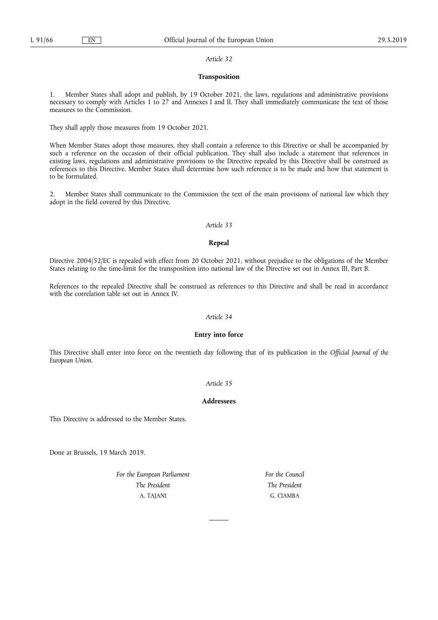### *Article 32*

## **Transposition**

1. Member States shall adopt and publish, by 19 October 2021, the laws, regulations and administrative provisions necessary to comply with Articles 1 to 27 and Annexes I and II. They shall immediately communicate the text of those measures to the Commission.

They shall apply those measures from 19 October 2021.

When Member States adopt those measures, they shall contain a reference to this Directive or shall be accompanied by such a reference on the occasion of their official publication. They shall also include a statement that references in existing laws, regulations and administrative provisions to the Directive repealed by this Directive shall be construed as references to this Directive. Member States shall determine how such reference is to be made and how that statement is to be formulated.

2. Member States shall communicate to the Commission the text of the main provisions of national law which they adopt in the field covered by this Directive.

#### *Article 33*

#### **Repeal**

Directive 2004/52/EC is repealed with effect from 20 October 2021, without prejudice to the obligations of the Member States relating to the time-limit for the transposition into national law of the Directive set out in Annex III, Part B.

References to the repealed Directive shall be construed as references to this Directive and shall be read in accordance with the correlation table set out in Annex IV.

### *Article 34*

## **Entry into force**

This Directive shall enter into force on the twentieth day following that of its publication in the *Official Journal of the European Union*.

## *Article 35*

## **Addressees**

This Directive is addressed to the Member States.

Done at Brussels, 19 March 2019.

*For the European Parliament The President*  A. TAJANI

*For the Council The President*  G. CIAMBA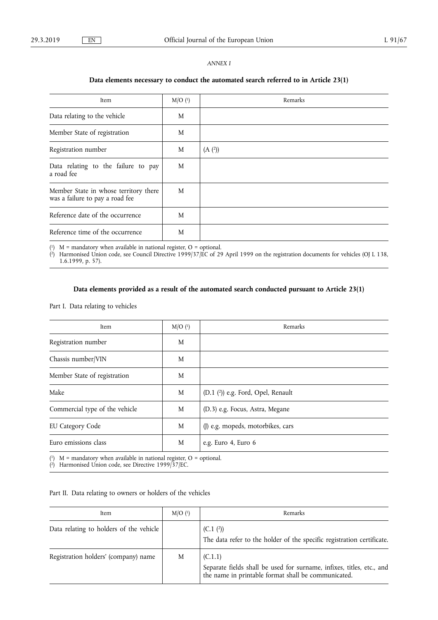## *ANNEX I*

## **Data elements necessary to conduct the automated search referred to in Article 23(1)**

| Item                                                                     | $M/O$ (1) | Remarks |
|--------------------------------------------------------------------------|-----------|---------|
| Data relating to the vehicle                                             | M         |         |
| Member State of registration                                             | M         |         |
| Registration number                                                      | M         | (A (2)) |
| Data relating to the failure to pay<br>a road fee                        | M         |         |
| Member State in whose territory there<br>was a failure to pay a road fee | M         |         |
| Reference date of the occurrence                                         | M         |         |
| Reference time of the occurrence                                         | M         |         |

 $(1)$  M = mandatory when available in national register, O = optional.

( 2) Harmonised Union code, see Council Directive 1999/37/EC of 29 April 1999 on the registration documents for vehicles (OJ L 138, 1.6.1999, p. 57).

## **Data elements provided as a result of the automated search conducted pursuant to Article 23(1)**

## Part I. Data relating to vehicles

| Item                                                                   | $M/O$ (1) | Remarks                            |
|------------------------------------------------------------------------|-----------|------------------------------------|
| Registration number                                                    | M         |                                    |
| Chassis number/VIN                                                     | M         |                                    |
| Member State of registration                                           | M         |                                    |
| Make                                                                   | M         | (D.1 (2)) e.g. Ford, Opel, Renault |
| Commercial type of the vehicle                                         | M         | (D.3) e.g. Focus, Astra, Megane    |
| <b>EU Category Code</b>                                                | M         | (J) e.g. mopeds, motorbikes, cars  |
| Euro emissions class                                                   | M         | e.g. Euro 4, Euro 6                |
| $(1)$ M = mandatory when available in national register, O = optional. |           |                                    |

( 2) Harmonised Union code, see Directive 1999/37/EC.

## Part II. Data relating to owners or holders of the vehicles

| Item                                    | M/O <sup>(1)</sup> | Remarks                                                                                                                                 |
|-----------------------------------------|--------------------|-----------------------------------------------------------------------------------------------------------------------------------------|
| Data relating to holders of the vehicle |                    | (C.1(2))<br>The data refer to the holder of the specific registration certificate.                                                      |
| Registration holders' (company) name    | M                  | (C.1.1)<br>Separate fields shall be used for surname, infixes, titles, etc., and<br>the name in printable format shall be communicated. |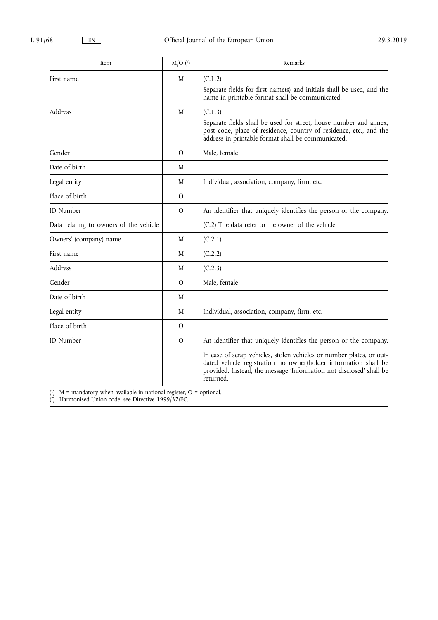| Item                                   | $M/O$ (1) | Remarks                                                                                                                                                                                                                     |
|----------------------------------------|-----------|-----------------------------------------------------------------------------------------------------------------------------------------------------------------------------------------------------------------------------|
| First name                             | M         | (C.1.2)                                                                                                                                                                                                                     |
|                                        |           | Separate fields for first name(s) and initials shall be used, and the<br>name in printable format shall be communicated.                                                                                                    |
| Address                                | M         | (C.1.3)                                                                                                                                                                                                                     |
|                                        |           | Separate fields shall be used for street, house number and annex,<br>post code, place of residence, country of residence, etc., and the<br>address in printable format shall be communicated.                               |
| Gender                                 | $\Omega$  | Male, female                                                                                                                                                                                                                |
| Date of birth                          | M         |                                                                                                                                                                                                                             |
| Legal entity                           | M         | Individual, association, company, firm, etc.                                                                                                                                                                                |
| Place of birth                         | $\Omega$  |                                                                                                                                                                                                                             |
| <b>ID</b> Number                       | $\Omega$  | An identifier that uniquely identifies the person or the company.                                                                                                                                                           |
| Data relating to owners of the vehicle |           | (C.2) The data refer to the owner of the vehicle.                                                                                                                                                                           |
| Owners' (company) name                 | M         | (C.2.1)                                                                                                                                                                                                                     |
| First name                             | M         | (C.2.2)                                                                                                                                                                                                                     |
| Address                                | M         | (C.2.3)                                                                                                                                                                                                                     |
| Gender                                 | $\Omega$  | Male, female                                                                                                                                                                                                                |
| Date of birth                          | M         |                                                                                                                                                                                                                             |
| Legal entity                           | M         | Individual, association, company, firm, etc.                                                                                                                                                                                |
| Place of birth                         | $\Omega$  |                                                                                                                                                                                                                             |
| <b>ID</b> Number                       | $\Omega$  | An identifier that uniquely identifies the person or the company.                                                                                                                                                           |
|                                        |           | In case of scrap vehicles, stolen vehicles or number plates, or out-<br>dated vehicle registration no owner/holder information shall be<br>provided. Instead, the message 'Information not disclosed' shall be<br>returned. |

 $(1)$  M = mandatory when available in national register, O = optional.

( 2) Harmonised Union code, see Directive 1999/37/EC.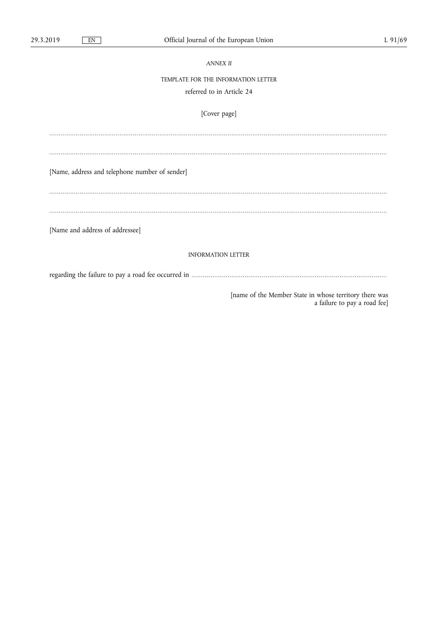| <b>ANNEX II</b>                                                                        |
|----------------------------------------------------------------------------------------|
| TEMPLATE FOR THE INFORMATION LETTER                                                    |
| referred to in Article 24                                                              |
| [Cover page]                                                                           |
|                                                                                        |
|                                                                                        |
| [Name, address and telephone number of sender]                                         |
|                                                                                        |
|                                                                                        |
| [Name and address of addressee]                                                        |
| <b>INFORMATION LETTER</b>                                                              |
|                                                                                        |
| [name of the Member State in whose territory there was<br>a failure to pay a road fee] |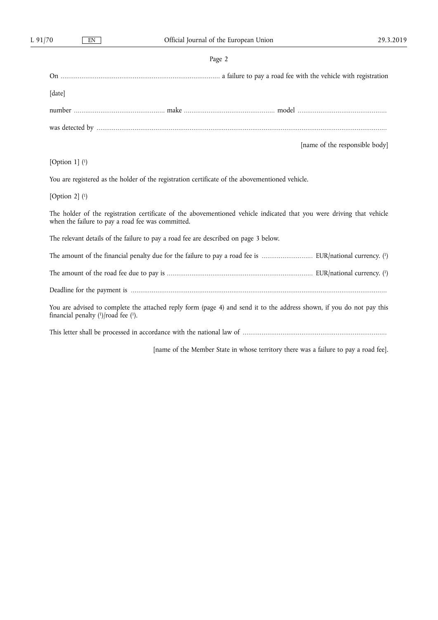## Page 2

| [date]                                                                                                                                                                     |
|----------------------------------------------------------------------------------------------------------------------------------------------------------------------------|
|                                                                                                                                                                            |
|                                                                                                                                                                            |
| [name of the responsible body]                                                                                                                                             |
| [Option 1] $(1)$                                                                                                                                                           |
| You are registered as the holder of the registration certificate of the abovementioned vehicle.                                                                            |
| [Option 2] $(1)$                                                                                                                                                           |
| The holder of the registration certificate of the abovementioned vehicle indicated that you were driving that vehicle<br>when the failure to pay a road fee was committed. |
| The relevant details of the failure to pay a road fee are described on page 3 below.                                                                                       |
|                                                                                                                                                                            |
|                                                                                                                                                                            |
|                                                                                                                                                                            |
| You are advised to complete the attached reply form (page 4) and send it to the address shown, if you do not pay this<br>financial penalty $(1)/\text{road}$ fee $(1)$ .   |
|                                                                                                                                                                            |
| [name of the Member State in whose territory there was a failure to pay a road fee].                                                                                       |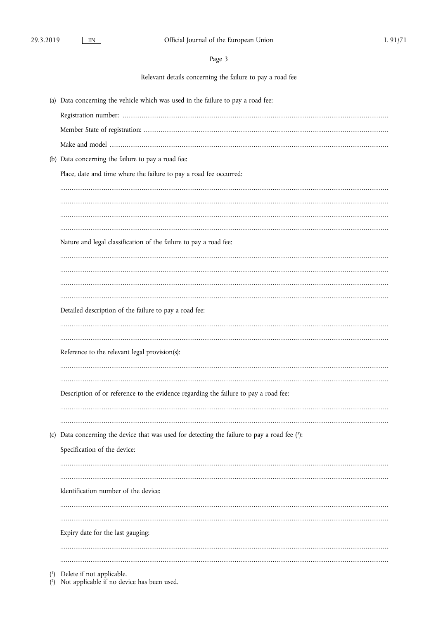Relevant details concerning the failure to pay a road fee

| (a) Data concerning the vehicle which was used in the failure to pay a road fee:              |
|-----------------------------------------------------------------------------------------------|
|                                                                                               |
|                                                                                               |
|                                                                                               |
| (b) Data concerning the failure to pay a road fee:                                            |
| Place, date and time where the failure to pay a road fee occurred:                            |
|                                                                                               |
|                                                                                               |
|                                                                                               |
| Nature and legal classification of the failure to pay a road fee:                             |
|                                                                                               |
|                                                                                               |
|                                                                                               |
|                                                                                               |
| Detailed description of the failure to pay a road fee:                                        |
|                                                                                               |
|                                                                                               |
| Reference to the relevant legal provision(s):                                                 |
|                                                                                               |
| Description of or reference to the evidence regarding the failure to pay a road fee:          |
|                                                                                               |
|                                                                                               |
| (c) Data concerning the device that was used for detecting the failure to pay a road fee (2): |
| Specification of the device:                                                                  |
|                                                                                               |
|                                                                                               |
| Identification number of the device:                                                          |
|                                                                                               |
|                                                                                               |
| Expiry date for the last gauging:                                                             |
|                                                                                               |
| $(1)$ Delete if not applicable                                                                |

( $\alpha$ ) Delete if not applicable.<br>( $\alpha$ ) Not applicable if no device has been used.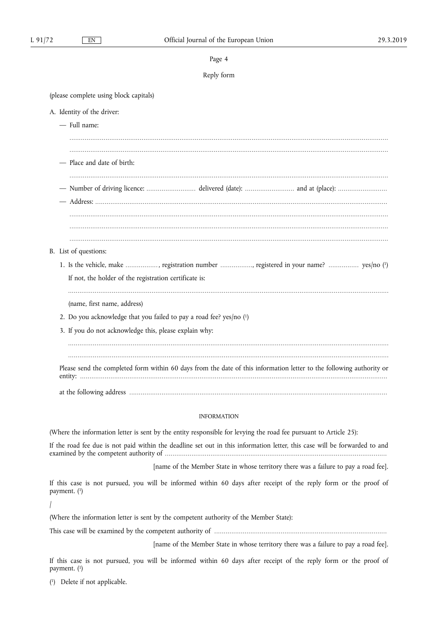#### Page 4

## Reply form

........................................................................................................................................................................ ........................................................................................................................................................................

(please complete using block capitals)

- A. Identity of the driver:
	- Full name:
	- Place and date of birth:
	-
	- ........................................................................................................................................................................ — Number of driving licence: .......................... delivered (date): .......................... and at (place): ..........................
	- Address: ..........................................................................................................................................................
		- ........................................................................................................................................................................
	- ........................................................................................................................................................................ ........................................................................................................................................................................
- B. List of questions:
	- 1. Is the vehicle, make ................. , registration number ................., registered in your name? ................ yes/no ( 1) If not, the holder of the registration certificate is:
		- .........................................................................................................................................................................
		- (name, first name, address)
	- 2. Do you acknowledge that you failed to pay a road fee? yes/no ( 1)
	- 3. If you do not acknowledge this, please explain why:

......................................................................................................................................................................... ......................................................................................................................................................................... Please send the completed form within 60 days from the date of this information letter to the following authority or entity: .................................................................................................................................................................. at the following address ........................................................................................................................................

## INFORMATION

(Where the information letter is sent by the entity responsible for levying the road fee pursuant to Article 25):

If the road fee due is not paid within the deadline set out in this information letter, this case will be forwarded to and examined by the competent authority of .....................................................................................................................

[name of the Member State in whose territory there was a failure to pay a road fee].

If this case is not pursued, you will be informed within 60 days after receipt of the reply form or the proof of payment. ( 1)

/

(Where the information letter is sent by the competent authority of the Member State):

This case will be examined by the competent authority of ...........................................................................................

[name of the Member State in whose territory there was a failure to pay a road fee].

If this case is not pursued, you will be informed within 60 days after receipt of the reply form or the proof of payment. ( 1)

( 1) Delete if not applicable.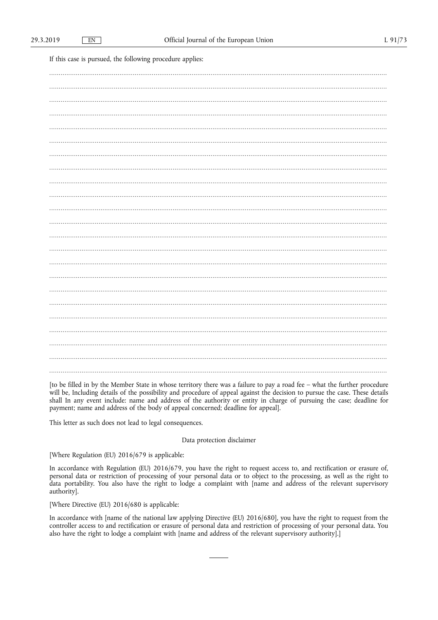If this case is pursued, the following procedure applies:

[to be filled in by the Member State in whose territory there was a failure to pay a road fee - what the further procedure will be, Including details of the possibility and procedure of appeal against the decision to pursue the case. These details shall In any event include: name and address of the authority or entity in charge of pursuing the case; deadline for payment; name and address of the body of appeal concerned; deadline for appeal].

This letter as such does not lead to legal consequences.

#### Data protection disclaimer

[Where Regulation (EU) 2016/679 is applicable:

In accordance with Regulation (EU) 2016/679, you have the right to request access to, and rectification or erasure of, personal data or restriction of processing of your personal data or to object to the processing, as well as the right to data portability. You also have the right to lodge a complaint with [name and address of the relevant authority].

[Where Directive (EU) 2016/680 is applicable:

In accordance with [name of the national law applying Directive (EU)  $2016/680$ ], you have the right to request from the controller access to and rectification or erasure of personal data and restriction of processing of your personal data. You also have the right to lodge a complaint with [name and address of the relevant supervisory authority].]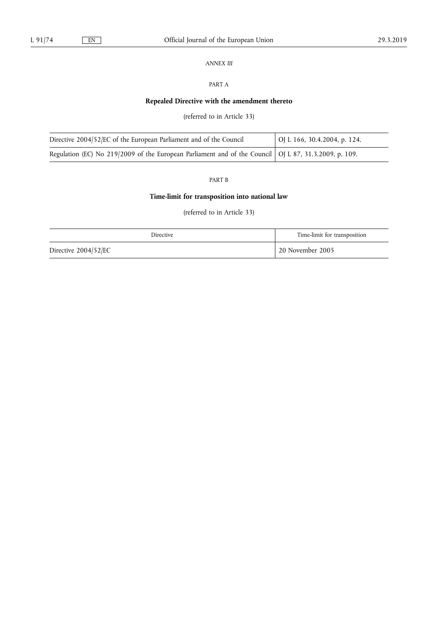## *ANNEX III*

## PART A

## **Repealed Directive with the amendment thereto**

(referred to in Article 33)

| Directive 2004/52/EC of the European Parliament and of the Council                                      | OJ L 166, 30.4.2004, p. 124. |
|---------------------------------------------------------------------------------------------------------|------------------------------|
| Regulation (EC) No 219/2009 of the European Parliament and of the Council   OJ L 87, 31.3.2009, p. 109. |                              |

## PART B

## **Time-limit for transposition into national law**

(referred to in Article 33)

| <b>Directive</b>     | Time-limit for transposition |
|----------------------|------------------------------|
| Directive 2004/52/EC | 20 November 2005             |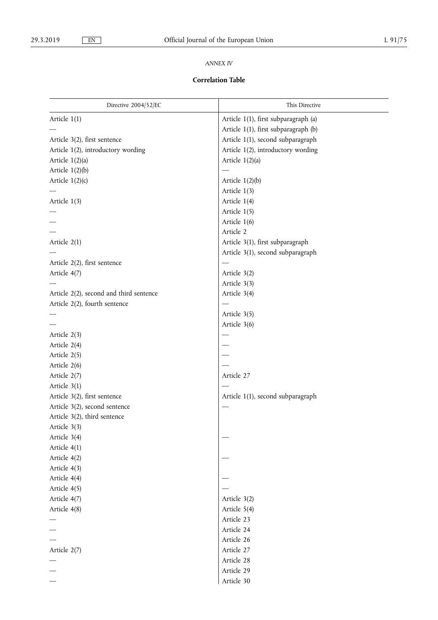## *ANNEX IV*

## **Correlation Table**

| Directive 2004/52/EC                    | This Directive                       |
|-----------------------------------------|--------------------------------------|
| Article $1(1)$                          | Article 1(1), first subparagraph (a) |
|                                         | Article 1(1), first subparagraph (b) |
| Article 3(2), first sentence            | Article 1(1), second subparagraph    |
| Article 1(2), introductory wording      | Article 1(2), introductory wording   |
| Article $1(2)(a)$                       | Article $1(2)(a)$                    |
| Article $1(2)(b)$                       |                                      |
| Article $1(2)(c)$                       | Article $1(2)(b)$                    |
|                                         | Article 1(3)                         |
| Article 1(3)                            | Article 1(4)                         |
|                                         | Article 1(5)                         |
|                                         | Article 1(6)                         |
|                                         | Article 2                            |
| Article $2(1)$                          | Article 3(1), first subparagraph     |
|                                         | Article 3(1), second subparagraph    |
| Article 2(2), first sentence            |                                      |
| Article 4(7)                            | Article 3(2)                         |
|                                         | Article 3(3)                         |
| Article 2(2), second and third sentence | Article 3(4)                         |
| Article 2(2), fourth sentence           |                                      |
|                                         | Article 3(5)                         |
|                                         | Article 3(6)                         |
| Article 2(3)                            | $\overline{\phantom{0}}$             |
| Article 2(4)                            |                                      |
| Article 2(5)                            |                                      |
| Article 2(6)                            |                                      |
| Article 2(7)                            | Article 27                           |
| Article $3(1)$                          |                                      |
| Article 3(2), first sentence            | Article 1(1), second subparagraph    |
| Article 3(2), second sentence           |                                      |
| Article 3(2), third sentence            |                                      |
| Article 3(3)                            |                                      |
| Article 3(4)                            |                                      |
| Article 4(1)                            |                                      |
| Article 4(2)                            |                                      |
| Article 4(3)                            |                                      |
| Article 4(4)                            |                                      |
| Article 4(5)                            |                                      |
| Article 4(7)                            | Article 3(2)                         |
| Article 4(8)                            | Article 5(4)                         |
|                                         | Article 23                           |
|                                         | Article 24                           |
|                                         | Article 26                           |
| Article 2(7)                            | Article 27                           |
|                                         | Article 28                           |
|                                         | Article 29                           |
|                                         | Article 30                           |